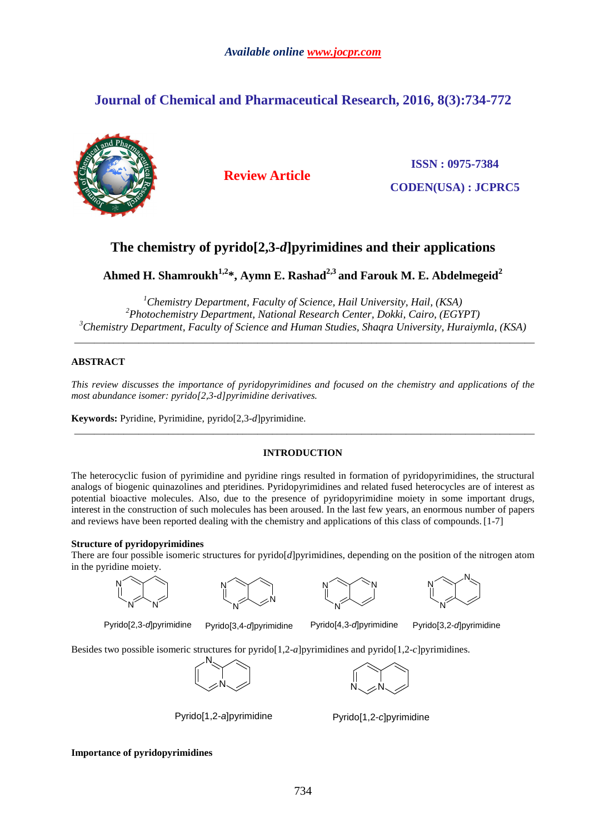# **Journal of Chemical and Pharmaceutical Research, 2016, 8(3):734-772**



**Review Article**

**ISSN : 0975-7384 CODEN(USA) : JCPRC5**

# **The chemistry of pyrido[2,3-***d***]pyrimidines and their applications**

**Ahmed H. Shamroukh1,2\*, Aymn E. Rashad2,3 and Farouk M. E. Abdelmegeid<sup>2</sup>**

*<sup>1</sup>Chemistry Department, Faculty of Science, Hail University, Hail, (KSA) <sup>2</sup>Photochemistry Department, National Research Center, Dokki, Cairo, (EGYPT) <sup>3</sup>Chemistry Department, Faculty of Science and Human Studies, Shaqra University, Huraiymla, (KSA)* 

\_\_\_\_\_\_\_\_\_\_\_\_\_\_\_\_\_\_\_\_\_\_\_\_\_\_\_\_\_\_\_\_\_\_\_\_\_\_\_\_\_\_\_\_\_\_\_\_\_\_\_\_\_\_\_\_\_\_\_\_\_\_\_\_\_\_\_\_\_\_\_\_\_\_\_\_\_\_\_\_\_\_\_\_\_\_\_\_\_\_\_\_\_

# **ABSTRACT**

*This review discusses the importance of pyridopyrimidines and focused on the chemistry and applications of the most abundance isomer: pyrido[2,3-d]pyrimidine derivatives.* 

**Keywords:** Pyridine, Pyrimidine, pyrido[2,3-*d*]pyrimidine.

# **INTRODUCTION**

\_\_\_\_\_\_\_\_\_\_\_\_\_\_\_\_\_\_\_\_\_\_\_\_\_\_\_\_\_\_\_\_\_\_\_\_\_\_\_\_\_\_\_\_\_\_\_\_\_\_\_\_\_\_\_\_\_\_\_\_\_\_\_\_\_\_\_\_\_\_\_\_\_\_\_\_\_\_\_\_\_\_\_\_\_\_\_\_\_\_\_\_\_

The heterocyclic fusion of pyrimidine and pyridine rings resulted in formation of pyridopyrimidines, the structural analogs of biogenic quinazolines and pteridines. Pyridopyrimidines and related fused heterocycles are of interest as potential bioactive molecules. Also, due to the presence of pyridopyrimidine moiety in some important drugs, interest in the construction of such molecules has been aroused. In the last few years, an enormous number of papers and reviews have been reported dealing with the chemistry and applications of this class of compounds. [1-7]

# **Structure of pyridopyrimidines**

N

There are four possible isomeric structures for pyrido[*d*]pyrimidines, depending on the position of the nitrogen atom in the pyridine moiety.









Pyrido[2,3-d]pyrimidine Pyrido[3,4-d]pyrimidine Pyrido[4,3-d]pyrimidine Pyrido[3,2-d]pyrimidine

Besides two possible isomeric structures for pyrido[1,2-*a*]pyrimidines and pyrido[1,2-*c*]pyrimidines.





Pyrido[1,2-a]pyrimidine Pyrido[1,2-c]pyrimidine

**Importance of pyridopyrimidines**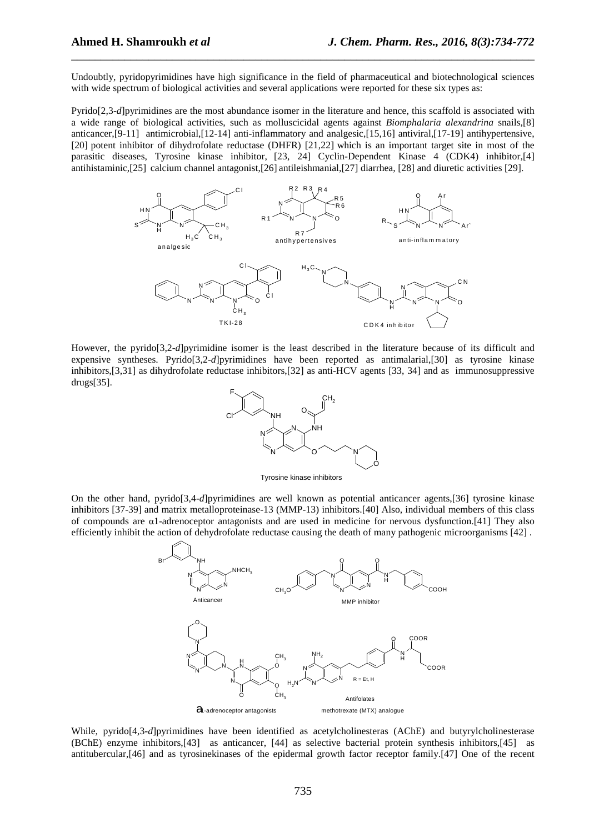Undoubtly, pyridopyrimidines have high significance in the field of pharmaceutical and biotechnological sciences with wide spectrum of biological activities and several applications were reported for these six types as:

\_\_\_\_\_\_\_\_\_\_\_\_\_\_\_\_\_\_\_\_\_\_\_\_\_\_\_\_\_\_\_\_\_\_\_\_\_\_\_\_\_\_\_\_\_\_\_\_\_\_\_\_\_\_\_\_\_\_\_\_\_\_\_\_\_\_\_\_\_\_\_\_\_\_\_\_\_\_

Pyrido[2,3-*d*]pyrimidines are the most abundance isomer in the literature and hence, this scaffold is associated with a wide range of biological activities, such as molluscicidal agents against *Biomphalaria alexandrina* snails,[8] anticancer,[9-11] antimicrobial,[12-14] anti-inflammatory and analgesic,[15,16] antiviral,[17-19] antihypertensive, [20] potent inhibitor of dihydrofolate reductase (DHFR) [21,22] which is an important target site in most of the parasitic diseases, Tyrosine kinase inhibitor, [23, 24] Cyclin-Dependent Kinase 4 (CDK4) inhibitor,[4] antihistaminic,[25] calcium channel antagonist,[26] antileishmanial,[27] diarrhea, [28] and diuretic activities [29].



However, the pyrido[3,2-*d*]pyrimidine isomer is the least described in the literature because of its difficult and expensive syntheses. Pyrido[3,2-*d*]pyrimidines have been reported as antimalarial,[30] as tyrosine kinase inhibitors,[3,31] as dihydrofolate reductase inhibitors,[32] as anti-HCV agents [33, 34] and as immunosuppressive drugs[35].



Tyrosine kinase inhibitors

On the other hand, pyrido[3,4-*d*]pyrimidines are well known as potential anticancer agents,[36] tyrosine kinase inhibitors [37-39] and matrix metalloproteinase-13 (MMP-13) inhibitors.[40] Also, individual members of this class of compounds are α1-adrenoceptor antagonists and are used in medicine for nervous dysfunction.[41] They also efficiently inhibit the action of dehydrofolate reductase causing the death of many pathogenic microorganisms [42] .



While, pyrido[4,3-*d*]pyrimidines have been identified as acetylcholinesteras (AChE) and butyrylcholinesterase (BChE) enzyme inhibitors,[43] as anticancer, [44] as selective bacterial protein synthesis inhibitors,[45] as antitubercular,[46] and as tyrosinekinases of the epidermal growth factor receptor family.[47] One of the recent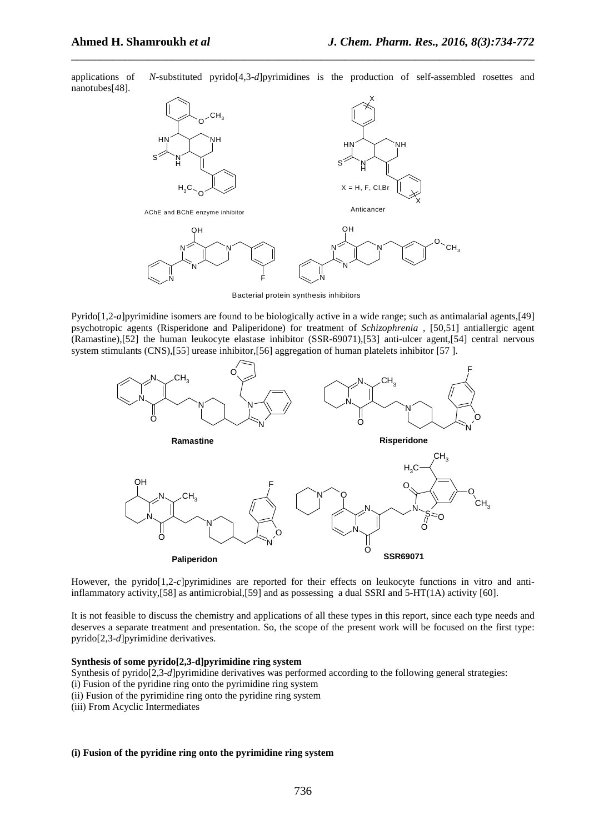applications of *N*-substituted pyrido[4,3-*d*]pyrimidines is the production of self-assembled rosettes and nanotubes[48].

\_\_\_\_\_\_\_\_\_\_\_\_\_\_\_\_\_\_\_\_\_\_\_\_\_\_\_\_\_\_\_\_\_\_\_\_\_\_\_\_\_\_\_\_\_\_\_\_\_\_\_\_\_\_\_\_\_\_\_\_\_\_\_\_\_\_\_\_\_\_\_\_\_\_\_\_\_\_



Bacterial protein synthesis inhibitors

Pyrido[1,2-*a*]pyrimidine isomers are found to be biologically active in a wide range; such as antimalarial agents,[49] psychotropic agents (Risperidone and Paliperidone) for treatment of *Schizophrenia* , [50,51] antiallergic agent (Ramastine),[52] the human leukocyte elastase inhibitor (SSR-69071),[53] anti-ulcer agent,[54] central nervous system stimulants (CNS),[55] urease inhibitor,[56] aggregation of human platelets inhibitor [57].



However, the pyrido[1,2-*c*]pyrimidines are reported for their effects on leukocyte functions in vitro and antiinflammatory activity,  $[58]$  as antimicrobial,  $[59]$  and as possessing a dual SSRI and  $5-HT(1A)$  activity  $[60]$ .

It is not feasible to discuss the chemistry and applications of all these types in this report, since each type needs and deserves a separate treatment and presentation. So, the scope of the present work will be focused on the first type: pyrido[2,3-*d*]pyrimidine derivatives.

## **Synthesis of some pyrido[2,3-d]pyrimidine ring system**

- Synthesis of pyrido<sup>[2,3-*d*]</sup>pyrimidine derivatives was performed according to the following general strategies:
- (i) Fusion of the pyridine ring onto the pyrimidine ring system
- (ii) Fusion of the pyrimidine ring onto the pyridine ring system
- (iii) From Acyclic Intermediates

# **(i) Fusion of the pyridine ring onto the pyrimidine ring system**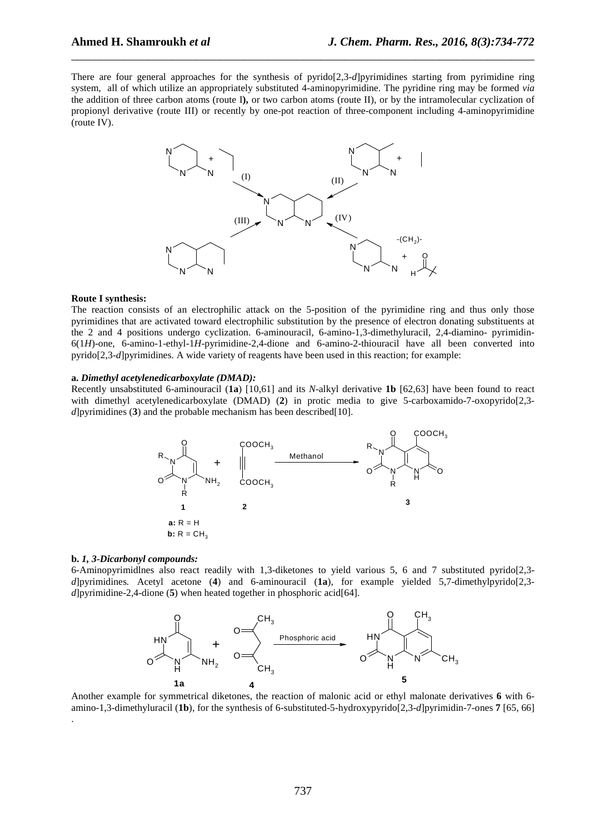There are four general approaches for the synthesis of pyrido[2,3-*d*]pyrimidines starting from pyrimidine ring system,all of which utilize an appropriately substituted 4-aminopyrimidine. The pyridine ring may be formed *via* the addition of three carbon atoms (route I**),** or two carbon atoms (route II), or by the intramolecular cyclization of propionyl derivative (route III) or recently by one-pot reaction of three-component including 4-aminopyrimidine (route IV).

\_\_\_\_\_\_\_\_\_\_\_\_\_\_\_\_\_\_\_\_\_\_\_\_\_\_\_\_\_\_\_\_\_\_\_\_\_\_\_\_\_\_\_\_\_\_\_\_\_\_\_\_\_\_\_\_\_\_\_\_\_\_\_\_\_\_\_\_\_\_\_\_\_\_\_\_\_\_



#### **Route I synthesis:**

The reaction consists of an electrophilic attack on the 5-position of the pyrimidine ring and thus only those pyrimidines that are activated toward electrophilic substitution by the presence of electron donating substituents at the 2 and 4 positions undergo cyclization. 6-aminouracil, 6-amino-1,3-dimethyluracil, 2,4-diamino- pyrimidin-6(1*H*)-one, 6-amino-1-ethyl-1*H*-pyrimidine-2,4-dione and 6-amino-2-thiouracil have all been converted into pyrido[2,3-*d*]pyrimidines. A wide variety of reagents have been used in this reaction; for example:

## **a.** *Dimethyl acetylenedicarboxylate (DMAD):*

Recently unsabstituted 6-aminouracil (**1a**) [10,61] and its *N*-alkyl derivative **1b** [62,63] have been found to react with dimethyl acetylenedicarboxylate (DMAD) (**2**) in protic media to give 5-carboxamido-7-oxopyrido[2,3 *d*]pyrimidines (**3**) and the probable mechanism has been described[10].



# **b.** *1, 3-Dicarbonyl compounds:*

.

6-Aminopyrimidlnes also react readily with 1,3-diketones to yield various 5, 6 and 7 substituted pyrido[2,3 *d*]pyrimidines*.* Acetyl acetone (**4**) and 6-aminouracil (**1a**), for example yielded 5,7-dimethylpyrido[2,3 *d*]pyrimidine-2,4-dione (**5**) when heated together in phosphoric acid[64].



Another example for symmetrical diketones, the reaction of malonic acid or ethyl malonate derivatives **6** with 6 amino-1,3-dimethyluracil (**1b**), for the synthesis of 6-substituted-5-hydroxypyrido[2,3-*d*]pyrimidin-7-ones **7** [65, 66]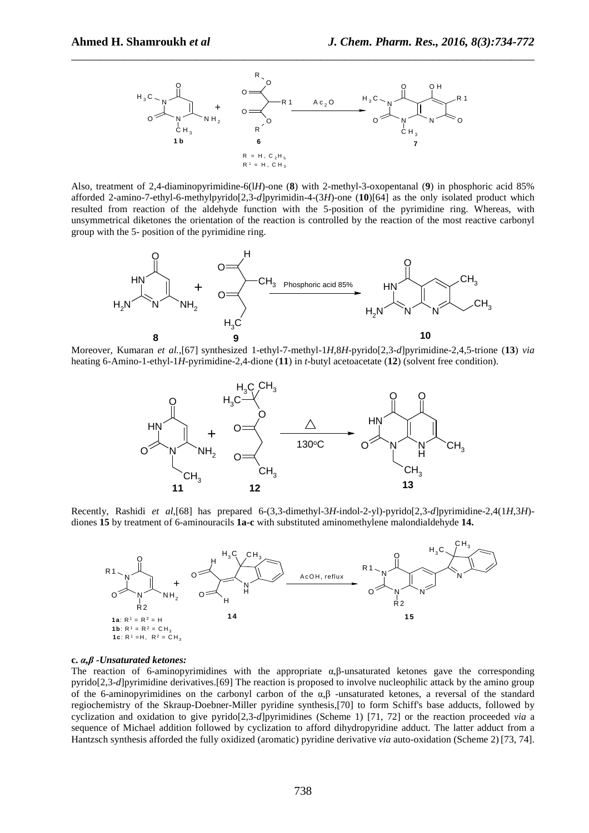

Also, treatment of 2,4-diaminopyrimidine-6(l*H*)-one (**8**) with 2-methyl-3-oxopentanal (**9**) in phosphoric acid 85% afforded 2-amino-7-ethyl-6-methylpyrido[2,3-*d*]pyrimidin-4-(3*H*)-one (**10**)[64] as the only isolated product which resulted from reaction of the aldehyde function with the 5-position of the pyrimidine ring. Whereas, with unsymmetrical diketones the orientation of the reaction is controlled by the reaction of the most reactive carbonyl group with the 5- position of the pyrimidine ring.



Moreover, Kumaran *et al.*,[67] synthesized 1-ethyl-7-methyl-1*H*,8*H*-pyrido[2,3-*d*]pyrimidine-2,4,5-trione (**13**) *via* heating 6-Amino-1-ethyl-1*H*-pyrimidine-2,4-dione (**11**) in *t*-butyl acetoacetate (**12**) (solvent free condition).



Recently, Rashidi *et al*,[68] has prepared 6-(3,3-dimethyl-3*H*-indol-2-yl)-pyrido[2,3-*d*]pyrimidine-2,4(1*H*,3*H*) diones **15** by treatment of 6-aminouracils **1a-c** with substituted aminomethylene malondialdehyde **14.**



#### **c.** *α,β -Unsaturated ketones:*

The reaction of 6-aminopyrimidines with the appropriate  $\alpha$ , $\beta$ -unsaturated ketones gave the corresponding pyrido[2,3-*d*]pyrimidine derivatives.[69] The reaction is proposed to involve nucleophilic attack by the amino group of the 6-aminopyrimidines on the carbonyl carbon of the α*,*β -unsaturated ketones, a reversal of the standard regiochemistry of the Skraup-Doebner-Miller pyridine synthesis,[70] to form Schiff's base adducts, followed by cyclization and oxidation to give pyrido[2,3-*d*]pyrimidines (Scheme 1) [71, 72] or the reaction proceeded *via* a sequence of Michael addition followed by cyclization to afford dihydropyridine adduct. The latter adduct from a Hantzsch synthesis afforded the fully oxidized (aromatic) pyridine derivative *via* auto-oxidation (Scheme 2) [73, 74].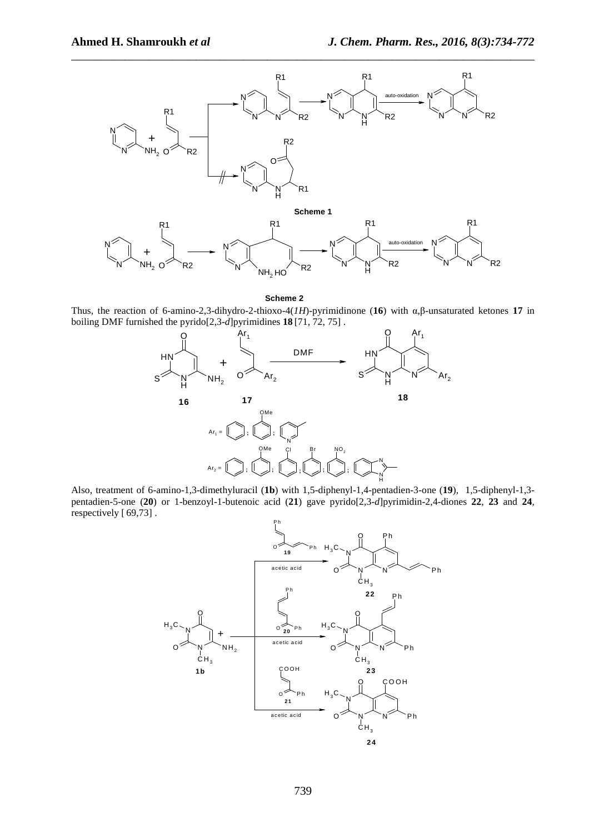

**Scheme 2**

Thus, the reaction of 6-amino-2,3-dihydro-2-thioxo-4(*1H*)-pyrimidinone (**16**) with α,β-unsaturated ketones **17** in boiling DMF furnished the pyrido[2,3-*d*]pyrimidines **18** [71, 72, 75] .



Also, treatment of 6-amino-1,3-dimethyluracil (**1b**) with 1,5-diphenyl-1,4-pentadien-3-one (**19**), 1,5-diphenyl-1,3 pentadien-5-one (**20**) or 1-benzoyl-1-butenoic acid (**21**) gave pyrido[2,3-*d*]pyrimidin-2,4-diones **22**, **23** and **24**, respectively [ 69,73] .

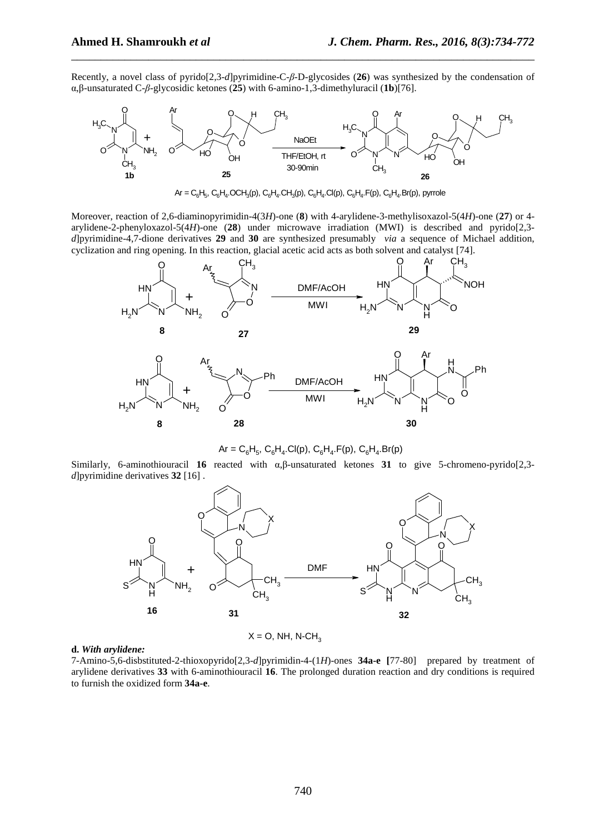Recently, a novel class of pyrido[2,3-*d*]pyrimidine-C-*β*-D-glycosides (**26**) was synthesized by the condensation of α,β-unsaturated C-*β*-glycosidic ketones (**25**) with 6-amino-1,3-dimethyluracil (**1b**)[76].

\_\_\_\_\_\_\_\_\_\_\_\_\_\_\_\_\_\_\_\_\_\_\_\_\_\_\_\_\_\_\_\_\_\_\_\_\_\_\_\_\_\_\_\_\_\_\_\_\_\_\_\_\_\_\_\_\_\_\_\_\_\_\_\_\_\_\_\_\_\_\_\_\_\_\_\_\_\_



 $\sf{Ar} = \sf{C}_6\sf{H}_5, \, \sf{C}_6\sf{H}_4.\sf{OCH}_3(p), \, \sf{C}_6\sf{H}_4.\sf{CH}_3(p), \, \sf{C}_6\sf{H}_4.\sf{Cl}(p), \, \sf{C}_6\sf{H}_4.\sf{F}(p), \, \sf{C}_6\sf{H}_4.\sf{Br}(p),$  pyrrole

Moreover, reaction of 2,6-diaminopyrimidin-4(3*H*)-one (**8**) with 4-arylidene-3-methylisoxazol-5(4*H*)-one (**27**) or 4 arylidene-2-phenyloxazol-5(4*H*)-one (**28**) under microwave irradiation (MWI) is described and pyrido[2,3 *d*]pyrimidine-4,7-dione derivatives **29** and **30** are synthesized presumably *via* a sequence of Michael addition, cyclization and ring opening. In this reaction, glacial acetic acid acts as both solvent and catalyst [74].



 $Ar = C_6H_5$ ,  $C_6H_4$ .Cl(p),  $C_6H_4$ .F(p),  $C_6H_4$ .Br(p)

Similarly, 6-aminothiouracil **16** reacted with α,β-unsaturated ketones **31** to give 5-chromeno-pyrido[2,3 *d*]pyrimidine derivatives **32** [16] .



 $X = O$ , NH, N-CH<sub>3</sub>

## **d.** *With arylidene:*

7-Amino-5,6-disbstituted-2-thioxopyrido[2,3-*d*]pyrimidin-4-(1*H*)-ones **34a-e [**77-80] prepared by treatment of arylidene derivatives **33** with 6-aminothiouracil **16**. The prolonged duration reaction and dry conditions is required to furnish the oxidized form **34a-e**.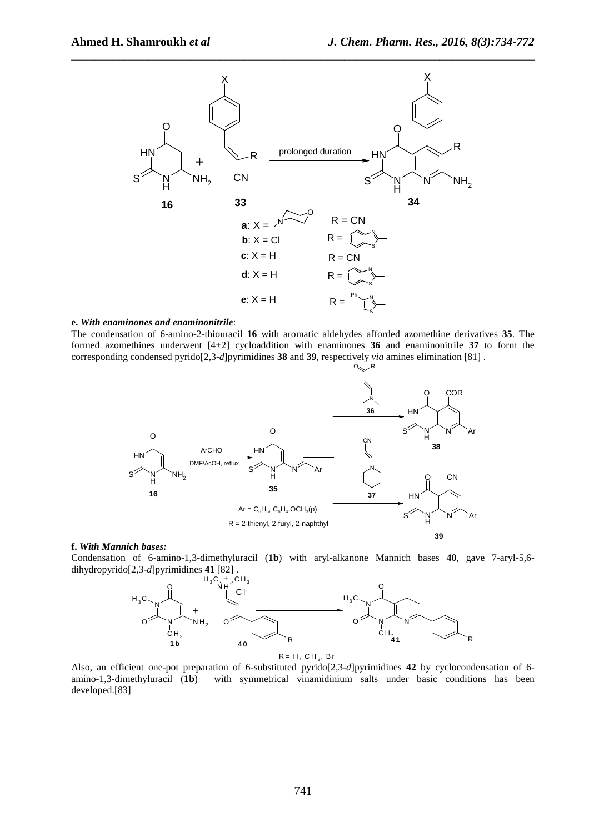

## **e.** *With enaminones and enaminonitrile*:

The condensation of 6-amino-2-thiouracil **16** with aromatic aldehydes afforded azomethine derivatives **35**. The formed azomethines underwent [4+2] cycloaddition with enaminones **36** and enaminonitrile **37** to form the corresponding condensed pyrido[2,3-*d*]pyrimidines **38** and **39**, respectively *via* amines elimination [81] .



## **f.** *With Mannich bases:*

Condensation of 6-amino-1,3-dimethyluracil (**1b**) with aryl-alkanone Mannich bases **40**, gave 7-aryl-5,6 dihydropyrido[2,3-*d*]pyrimidines **41** [82] .



Also, an efficient one-pot preparation of 6-substituted pyrido[2,3-*d*]pyrimidines **42** by cyclocondensation of 6 amino-1,3-dimethyluracil (**1b**) with symmetrical vinamidinium salts under basic conditions has been developed.[83]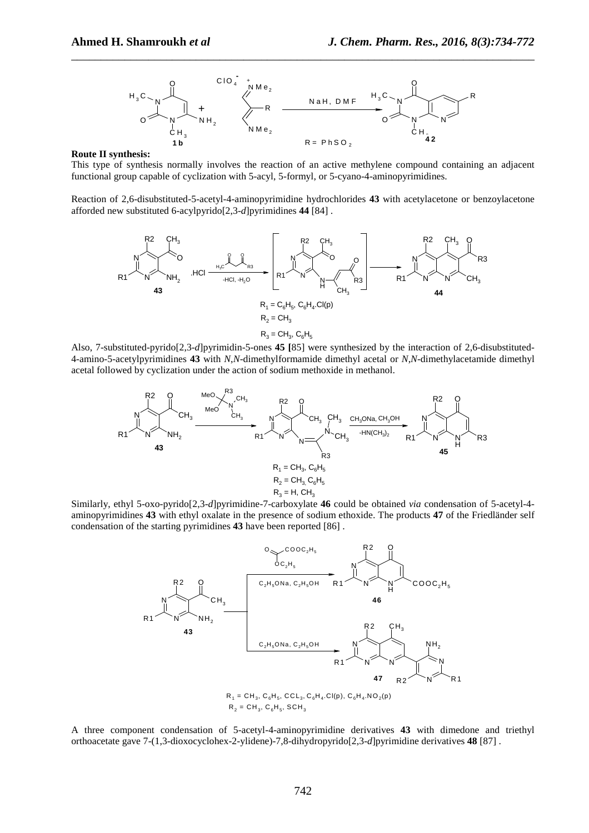

**Route II synthesis:** 

This type of synthesis normally involves the reaction of an active methylene compound containing an adjacent functional group capable of cyclization with 5-acyl, 5-formyl, or 5-cyano-4-aminopyrimidines.

Reaction of 2,6-disubstituted-5-acetyl-4-aminopyrimidine hydrochlorides **43** with acetylacetone or benzoylacetone afforded new substituted 6-acylpyrido[2,3-*d*]pyrimidines **44** [84] .



Also, 7-substituted-pyrido[2,3-*d*]pyrimidin-5-ones **45 [**85] were synthesized by the interaction of 2,6-disubstituted-4-amino-5-acetylpyrimidines **43** with *N*,*N*-dimethylformamide dimethyl acetal or *N*,*N*-dimethylacetamide dimethyl acetal followed by cyclization under the action of sodium methoxide in methanol.



Similarly, ethyl 5-oxo-pyrido[2,3-*d*]pyrimidine-7-carboxylate **46** could be obtained *via* condensation of 5-acetyl-4 aminopyrimidines **43** with ethyl oxalate in the presence of sodium ethoxide. The products **47** of the Friedländer self condensation of the starting pyrimidines **43** have been reported [86] .



 $R_2 = CH_3$ ,  $C_6H_5$ ,  $SCH_3$ 

A three component condensation of 5-acetyl-4-aminopyrimidine derivatives **43** with dimedone and triethyl orthoacetate gave 7-(1,3-dioxocyclohex-2-ylidene)-7,8-dihydropyrido[2,3-*d*]pyrimidine derivatives **48** [87] .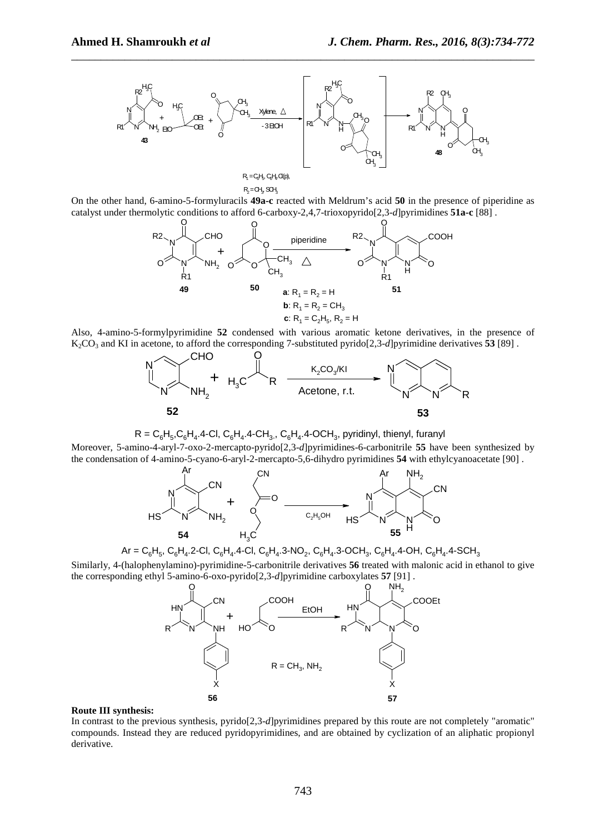

R<sub>2</sub>=CH<sub>3</sub> SCH<sub>3</sub>

On the other hand, 6-amino-5-formyluracils **49a-c** reacted with Meldrum's acid **50** in the presence of piperidine as catalyst under thermolytic conditions to afford 6-carboxy-2,4,7-trioxopyrido[2,3-*d*]pyrimidines **51a-c** [88] .



Also, 4-amino-5-formylpyrimidine **52** condensed with various aromatic ketone derivatives, in the presence of K2CO3 and KI in acetone, to afford the corresponding 7-substituted pyrido[2,3-*d*]pyrimidine derivatives **53** [89] .



 $R = C_6H_5C_6H_4.4$ -Cl,  $C_6H_4.4$ -CH<sub>3</sub>.,  $C_6H_4.4$ -OCH<sub>3</sub>, pyridinyl, thienyl, furanyl

Moreover, 5-amino-4-aryl-7-oxo-2-mercapto-pyrido[2,3-*d*]pyrimidines-6-carbonitrile **55** have been synthesized by the condensation of 4-amino-5-cyano-6-aryl-2-mercapto-5,6-dihydro pyrimidines **54** with ethylcyanoacetate [90] .



$$
Ar = C_6H_5, C_6H_4.2\text{-Cl}, C_6H_4.4\text{-Cl}, C_6H_4.3\text{-NO}_2, C_6H_4.3\text{-OCH}_3, C_6H_4.4\text{-OH}, C_6H_4.4\text{-SCH}_3
$$

Similarly, 4-(halophenylamino)-pyrimidine-5-carbonitrile derivatives **56** treated with malonic acid in ethanol to give the corresponding ethyl 5-amino-6-oxo-pyrido[2,3-*d*]pyrimidine carboxylates **57** [91] .



#### **Route III synthesis:**

In contrast to the previous synthesis, pyrido[2,3-*d*]pyrimidines prepared by this route are not completely "aromatic" compounds. Instead they are reduced pyridopyrimidines, and are obtained by cyclization of an aliphatic propionyl derivative.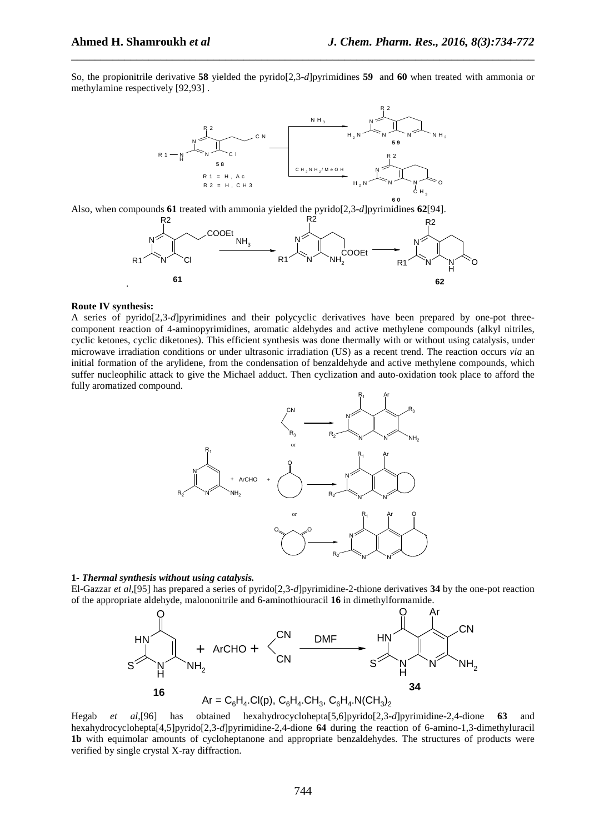So, the propionitrile derivative **58** yielded the pyrido[2,3-*d*]pyrimidines **59** and **60** when treated with ammonia or methylamine respectively [92,93] .

\_\_\_\_\_\_\_\_\_\_\_\_\_\_\_\_\_\_\_\_\_\_\_\_\_\_\_\_\_\_\_\_\_\_\_\_\_\_\_\_\_\_\_\_\_\_\_\_\_\_\_\_\_\_\_\_\_\_\_\_\_\_\_\_\_\_\_\_\_\_\_\_\_\_\_\_\_\_



Also, when compounds **61** treated with ammonia yielded the pyrido[2,3-*d*]pyrimidines **62**[94].



#### **Route IV synthesis:**

A series of pyrido[2,3-*d*]pyrimidines and their polycyclic derivatives have been prepared by one-pot threecomponent reaction of 4-aminopyrimidines, aromatic aldehydes and active methylene compounds (alkyl nitriles, cyclic ketones, cyclic diketones). This efficient synthesis was done thermally with or without using catalysis, under microwave irradiation conditions or under ultrasonic irradiation (US) as a recent trend. The reaction occurs *via* an initial formation of the arylidene, from the condensation of benzaldehyde and active methylene compounds, which suffer nucleophilic attack to give the Michael adduct. Then cyclization and auto-oxidation took place to afford the fully aromatized compound.



## **1-** *Thermal synthesis without using catalysis.*

El-Gazzar *et al*,[95] has prepared a series of pyrido[2,3-*d*]pyrimidine-2-thione derivatives **34** by the one-pot reaction of the appropriate aldehyde, malononitrile and 6-aminothiouracil **16** in dimethylformamide.



 $Ar = C_6H_4$ .Cl(p),  $C_6H_4$ .CH<sub>3</sub>,  $C_6H_4$ .N(CH<sub>3</sub>)<sub>2</sub>

Hegab *et al*,[96] has obtained hexahydrocyclohepta ]5,6[ pyrido[2,3-*d*]pyrimidine-2,4-dione **63** and hexahydrocyclohepta[4,5]pyrido[2,3-*d*]pyrimidine-2,4-dione **64** during the reaction of 6-amino-1,3-dimethyluracil **1b** with equimolar amounts of cycloheptanone and appropriate benzaldehydes. The structures of products were verified by single crystal X-ray diffraction.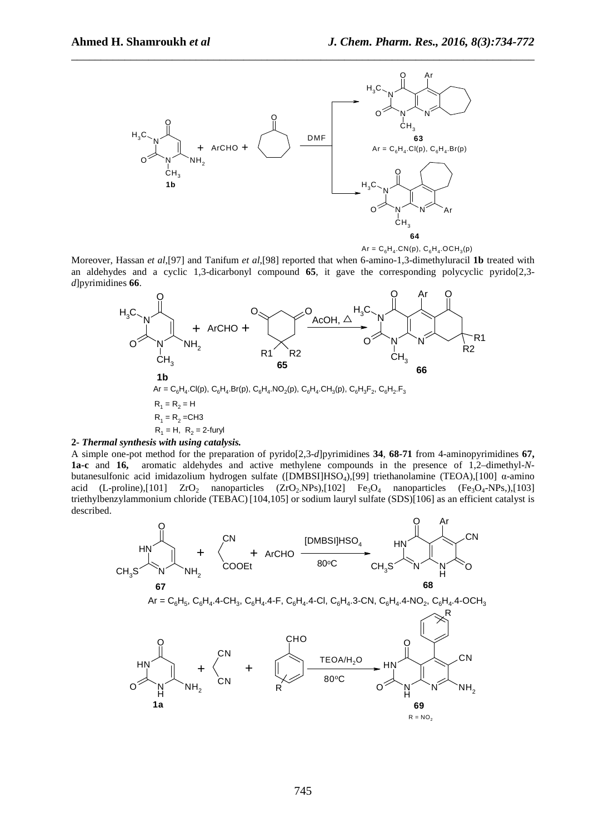



Moreover, Hassan *et al*,[97] and Tanifum *et al*,[98] reported that when 6-amino-1,3-dimethyluracil **1b** treated with an aldehydes and a cyclic 1,3-dicarbonyl compound **65**, it gave the corresponding polycyclic pyrido[2,3 *d*]pyrimidines **66**.



## **2-** *Thermal synthesis with using catalysis.*

A simple one-pot method for the preparation of pyrido[2,3-*d*]pyrimidines **34**, **68-71** from 4-aminopyrimidines **67, 1a-c** and **16,** aromatic aldehydes and active methylene compounds in the presence of 1,2–dimethyl-*N*butanesulfonic acid imidazolium hydrogen sulfate ([DMBSI]HSO<sub>4</sub>),[99] triethanolamine (TEOA),[100] α-amino acid (L-proline),[101]  $ZrO_2$  nanoparticles ( $ZrO_2$ -NPs),[102] Fe<sub>3</sub>O<sub>4</sub> nanoparticles (Fe<sub>3</sub>O<sub>4</sub>-NPs),[103] triethylbenzylammonium chloride (TEBAC) [104,105] or sodium lauryl sulfate (SDS)[106] as an efficient catalyst is described.

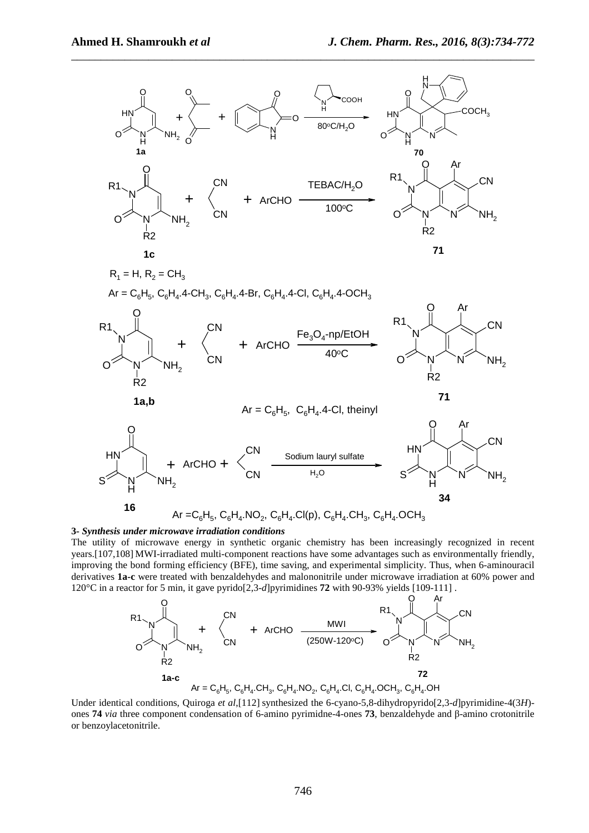

#### **3-** *Synthesis under microwave irradiation conditions*

The utility of microwave energy in synthetic organic chemistry has been increasingly recognized in recent years.[107,108] MWI-irradiated multi-component reactions have some advantages such as environmentally friendly, improving the bond forming efficiency (BFE), time saving, and experimental simplicity. Thus, when 6-aminouracil derivatives **1a-c** were treated with benzaldehydes and malononitrile under microwave irradiation at 60% power and 120°C in a reactor for 5 min, it gave pyrido[2,3-*d*]pyrimidines **72** with 90-93% yields [109-111] .



Under identical conditions, Quiroga *et al*,[112] synthesized the 6-cyano-5,8-dihydropyrido[2,3-*d*]pyrimidine-4(3*H*) ones **74** *via* three component condensation of 6-amino pyrimidne-4-ones **73**, benzaldehyde and β-amino crotonitrile or benzoylacetonitrile.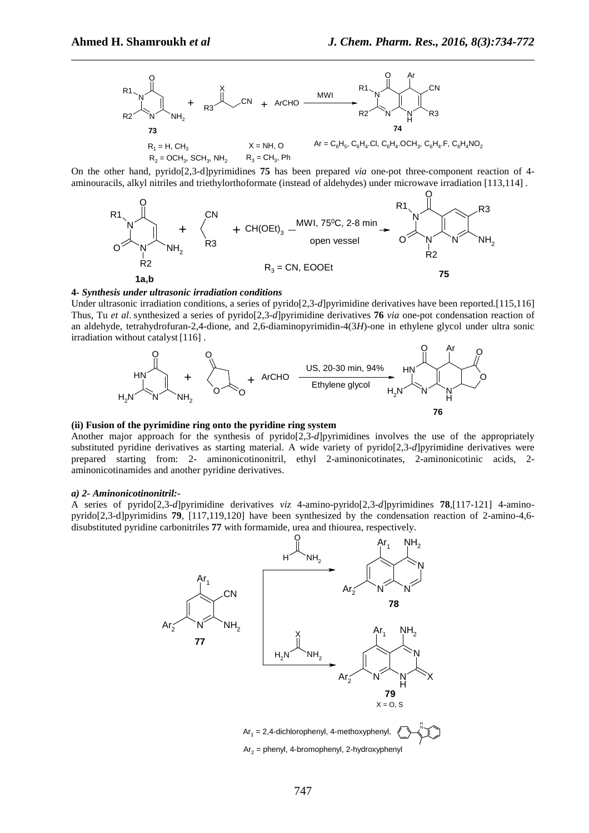

On the other hand, pyrido[2,3-d]pyrimidines **75** has been prepared *via* one-pot three-component reaction of 4 aminouracils, alkyl nitriles and triethylorthoformate (instead of aldehydes) under microwave irradiation [113,114] .



#### **4-** *Synthesis under ultrasonic irradiation conditions*

Under ultrasonic irradiation conditions, a series of pyrido[2,3-*d*]pyrimidine derivatives have been reported.[115,116] Thus, Tu *et al*. synthesized a series of pyrido[2,3-*d*]pyrimidine derivatives **76** *via* one-pot condensation reaction of an aldehyde, tetrahydrofuran-2,4-dione, and 2,6-diaminopyrimidin-4(3*H*)-one in ethylene glycol under ultra sonic irradiation without catalyst [116] .



#### **(ii) Fusion of the pyrimidine ring onto the pyridine ring system**

Another major approach for the synthesis of pyrido[2,3-*d*]pyrimidines involves the use of the appropriately substituted pyridine derivatives as starting material. A wide variety of pyrido[2,3-*d*]pyrimidine derivatives were prepared starting from: 2- aminonicotinonitril, ethyl 2-aminonicotinates, 2-aminonicotinic acids, 2 aminonicotinamides and another pyridine derivatives.

#### *a) 2- Aminonicotinonitril:-*

A series of pyrido[2,3-*d*]pyrimidine derivatives *viz* 4-amino-pyrido[2,3-*d*]pyrimidines **78**,[117-121] 4-aminopyrido[2,3-d]pyrimidins **79**, [117,119,120] have been synthesized by the condensation reaction of 2-amino-4,6 disubstituted pyridine carbonitriles **77** with formamide, urea and thiourea, respectively.

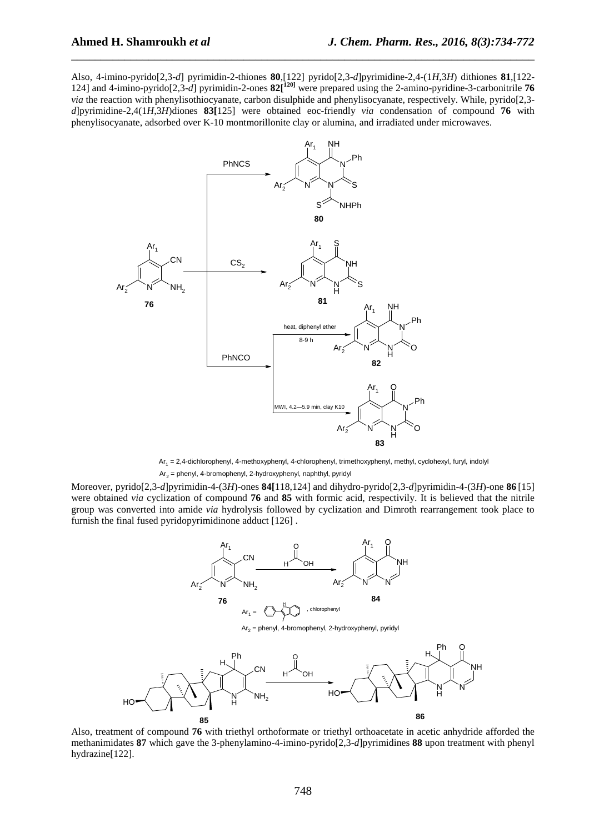Also, 4-imino-pyrido[2,3-*d*] pyrimidin-2-thiones **80**,[122] pyrido[2,3-*d*]pyrimidine-2,4-(1*H*,3*H*) dithiones **81**,[122- 124] and 4-imino-pyrido[2,3-*d*] pyrimidin-2-ones **82[120]** were prepared using the 2-amino-pyridine-3-carbonitrile **76** *via* the reaction with phenylisothiocyanate, carbon disulphide and phenylisocyanate, respectively. While, pyrido[2,3*d*]pyrimidine-2,4(1*H*,3*H*)diones **83[**125] were obtained eoc-friendly *via* condensation of compound **76** with phenylisocyanate, adsorbed over K-10 montmorillonite clay or alumina, and irradiated under microwaves.

\_\_\_\_\_\_\_\_\_\_\_\_\_\_\_\_\_\_\_\_\_\_\_\_\_\_\_\_\_\_\_\_\_\_\_\_\_\_\_\_\_\_\_\_\_\_\_\_\_\_\_\_\_\_\_\_\_\_\_\_\_\_\_\_\_\_\_\_\_\_\_\_\_\_\_\_\_\_



Ar<sub>1</sub> = 2,4-dichlorophenyl, 4-methoxyphenyl, 4-chlorophenyl, trimethoxyphenyl, methyl, cyclohexyl, furyl, indolyl Ar<sub>2</sub> = phenyl, 4-bromophenyl, 2-hydroxyphenyl, naphthyl, pyridyl

Moreover, pyrido[2,3-*d*]pyrimidin-4-(3*H*)-ones **84[**118,124] and dihydro-pyrido[2,3-*d*]pyrimidin-4-(3*H*)-one **86** [15] were obtained *via* cyclization of compound **76** and **85** with formic acid, respectivily. It is believed that the nitrile group was converted into amide *via* hydrolysis followed by cyclization and Dimroth rearrangement took place to furnish the final fused pyridopyrimidinone adduct [126] .



Also, treatment of compound **76** with triethyl orthoformate or triethyl orthoacetate in acetic anhydride afforded the methanimidates **87** which gave the 3-phenylamino-4-imino-pyrido[2,3-*d*]pyrimidines **88** upon treatment with phenyl hydrazine[122].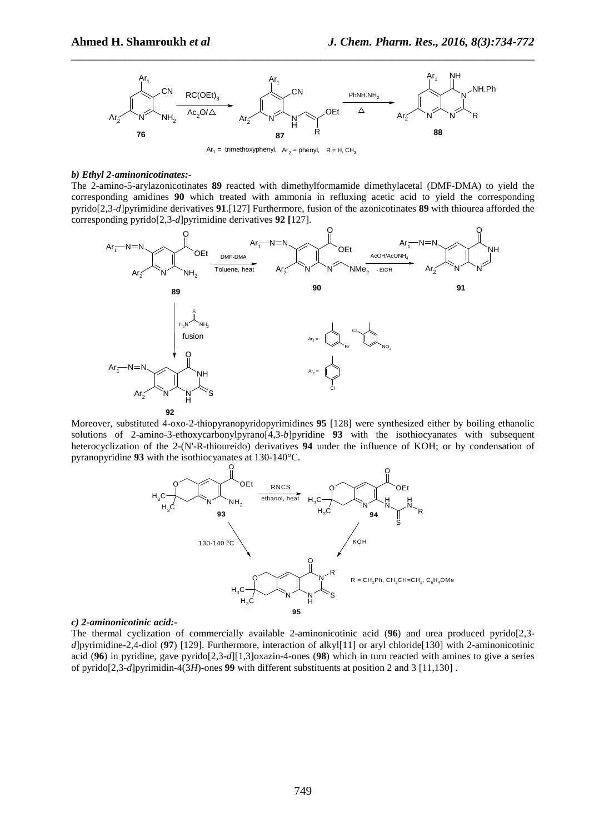

 $Ar<sub>1</sub>$  = trimethoxyphenyl,  $Ar<sub>2</sub>$  = phenyl,  $R$  = H, CH<sub>3</sub>

#### *b) Ethyl 2-aminonicotinates:-*

The 2-amino-5-arylazonicotinates **89** reacted with dimethylformamide dimethylacetal (DMF-DMA) to yield the corresponding amidines **90** which treated with ammonia in refluxing acetic acid to yield the corresponding pyrido[2,3-*d*]pyrimidine derivatives **91**.[127] Furthermore, fusion of the azonicotinates **89** with thiourea afforded the corresponding pyrido[2,3-*d*]pyrimidine derivatives **92 [**127].



Moreover, substituted 4-oxo-2-thiopyranopyridopyrimidines **95** [128] were synthesized either by boiling ethanolic solutions of 2-amino-3-ethoxycarbonylpyrano[4,3-*b*]pyridine **93** with the isothiocyanates with subsequent heterocyclization of the 2-(N'-R-thioureido) derivatives **94** under the influence of KOH; or by condensation of pyranopyridine **93** with the isothiocyanates at 130-140°C.



#### *c) 2-aminonicotinic acid:-*

The thermal cyclization of commercially available 2-aminonicotinic acid (**96**) and urea produced pyrido[2,3 *d*]pyrimidine-2,4-diol (**97**) [129]. Furthermore, interaction of alkyl[11] or aryl chloride[130] with 2-aminonicotinic acid (**96**) in pyridine, gave pyrido[2,3-*d*][1,3]oxazin-4-ones (**98**) which in turn reacted with amines to give a series of pyrido[2,3-*d*]pyrimidin-4(3*H*)-ones **99** with different substituents at position 2 and 3 [11,130] .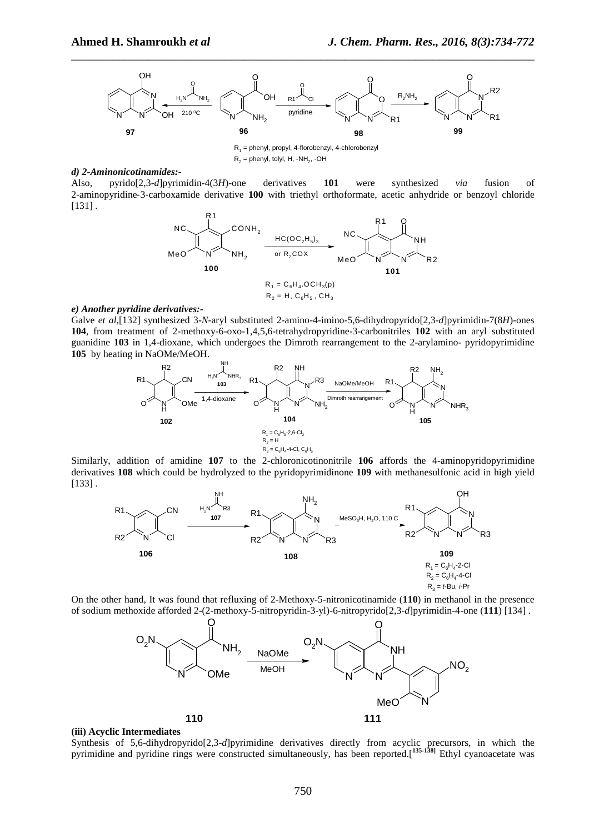

 $R_2$  = phenyl, tolyl, H, -NH<sub>2</sub>, -OH

#### *d) 2-Aminonicotinamides:-*

Also, pyrido[2,3-*d*]pyrimidin-4(3*H*)-one derivatives **101** were synthesized *via* fusion of 2‐aminopyridine‐3‐carboxamide derivative **100** with triethyl orthoformate, acetic anhydride or benzoyl chloride [131] .



# *e) Another pyridine derivatives:-*

Galve *et al*,[132] synthesized 3-*N*-aryl substituted 2-amino-4-imino-5,6-dihydropyrido[2,3-*d*]pyrimidin-7(8*H*)-ones **104**, from treatment of 2-methoxy-6-oxo-1,4,5,6-tetrahydropyridine-3-carbonitriles **102** with an aryl substituted guanidine **103** in 1,4-dioxane, which undergoes the Dimroth rearrangement to the 2-arylamino- pyridopyrimidine **105** by heating in NaOMe/MeOH.



Similarly, addition of amidine **107** to the 2-chloronicotinonitrile **106** affords the 4-aminopyridopyrimidine derivatives **108** which could be hydrolyzed to the pyridopyrimidinone **109** with methanesulfonic acid in high yield [133] .



On the other hand, It was found that refluxing of 2-Methoxy-5-nitronicotinamide (**110**) in methanol in the presence of sodium methoxide afforded 2-(2-methoxy-5-nitropyridin-3-yl)-6-nitropyrido[2,3-*d*]pyrimidin-4-one (**111**) [134] .



#### **(iii) Acyclic Intermediates**

Synthesis of 5,6-dihydropyrido[2,3-*d*]pyrimidine derivatives directly from acyclic precursors, in which the pyrimidine and pyridine rings were constructed simultaneously, has been reported.[**135-138]** Ethyl cyanoacetate was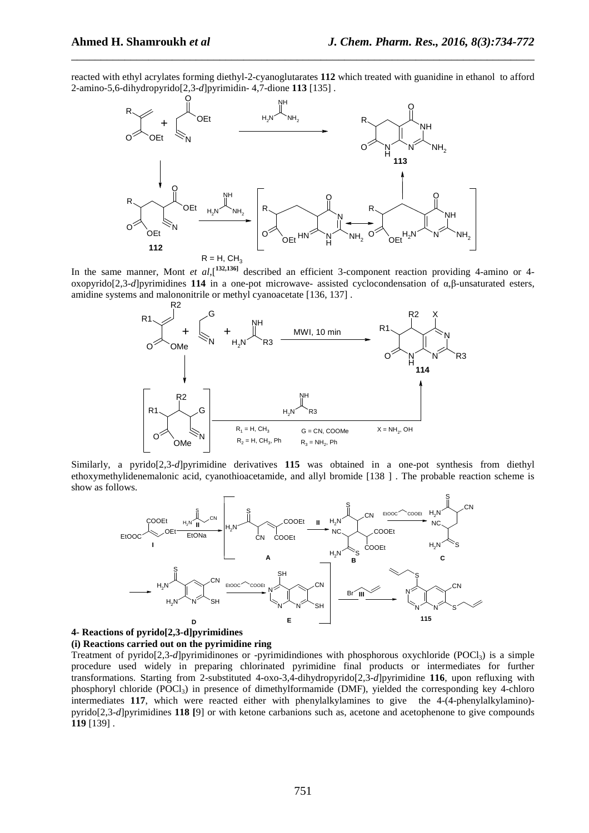reacted with ethyl acrylates forming diethyl-2-cyanoglutarates 112 which treated with guanidine in ethanol to afford 2-amino-5,6-dihydropyrido[2,3-*d*]pyrimidin- 4,7-dione **113** [135] .

\_\_\_\_\_\_\_\_\_\_\_\_\_\_\_\_\_\_\_\_\_\_\_\_\_\_\_\_\_\_\_\_\_\_\_\_\_\_\_\_\_\_\_\_\_\_\_\_\_\_\_\_\_\_\_\_\_\_\_\_\_\_\_\_\_\_\_\_\_\_\_\_\_\_\_\_\_\_



In the same manner, Mont *et al*,[<sup>132,136]</sup> described an efficient 3-component reaction providing 4-amino or 4oxopyrido[2,3-*d*]pyrimidines **114** in a one-pot microwave- assisted cyclocondensation of α,β-unsaturated esters, amidine systems and malononitrile or methyl cyanoacetate [136, 137] .



Similarly, a pyrido[2,3-*d*]pyrimidine derivatives **115** was obtained in a one-pot synthesis from diethyl ethoxymethylidenemalonic acid, cyanothioacetamide, and allyl bromide [138 ] . The probable reaction scheme is show as follows.



# **4- Reactions of pyrido[2,3-d]pyrimidines**

# **(i) Reactions carried out on the pyrimidine ring**

Treatment of pyrido[2,3-*d*]pyrimidinones or -pyrimidindiones with phosphorous oxychloride (POCl<sub>3</sub>) is a simple procedure used widely in preparing chlorinated pyrimidine final products or intermediates for further transformations. Starting from 2-substituted 4-oxo-3,4-dihydropyrido[2,3-*d*]pyrimidine **116**, upon refluxing with phosphoryl chloride (POCl<sub>3</sub>) in presence of dimethylformamide (DMF), yielded the corresponding key 4-chloro intermediates **117**, which were reacted either with phenylalkylamines to give the 4-(4-phenylalkylamino) pyrido[2,3-*d*]pyrimidines **118 [**9] or with ketone carbanions such as, acetone and acetophenone to give compounds **119** [139] .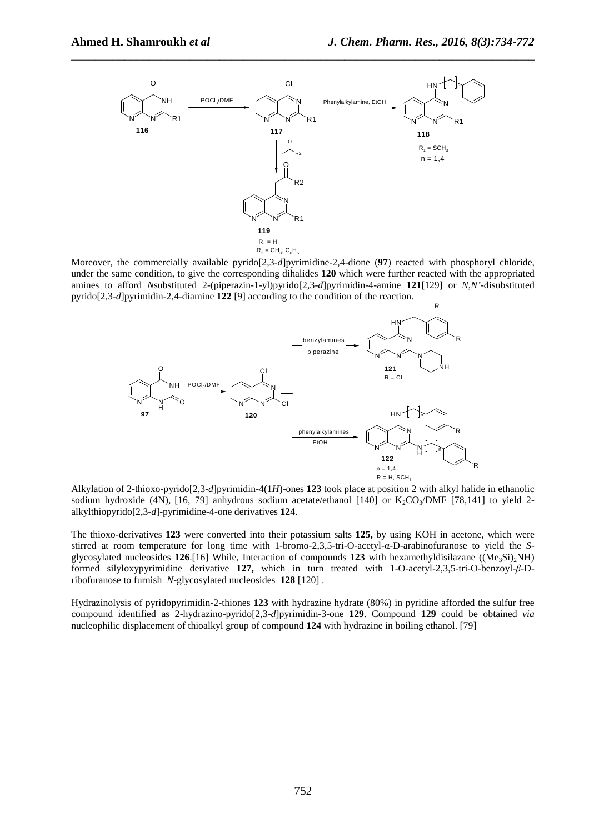

Moreover, the commercially available pyrido[2,3-*d*]pyrimidine-2,4-dione (**97**) reacted with phosphoryl chloride, under the same condition, to give the corresponding dihalides **120** which were further reacted with the appropriated amines to afford *N*substituted 2-(piperazin-1-yl)pyrido[2,3-*d*]pyrimidin-4-amine **121[**129] or *N*,*N'*-disubstituted pyrido[2,3-*d*]pyrimidin-2,4-diamine **122** [9] according to the condition of the reaction.



Alkylation of 2-thioxo-pyrido[2,3-*d*]pyrimidin-4(1*H*)-ones **123** took place at position 2 with alkyl halide in ethanolic sodium hydroxide (4N), [16, 79] anhydrous sodium acetate/ethanol [140] or  $K_2CO_3/DMF$  [78,141] to yield 2alkylthiopyrido[2,3-*d*]-pyrimidine-4-one derivatives **124**.

The thioxo-derivatives **123** were converted into their potassium salts **125,** by using KOH in acetone, which were stirred at room temperature for long time with 1-bromo-2,3,5-tri-O-acetyl-α-D-arabinofuranose to yield the *S*glycosylated nucleosides 126.[16] While, Interaction of compounds 123 with hexamethyldisilazane ((Me<sub>3</sub>Si)<sub>2</sub>NH) formed silyloxypyrimidine derivative **127,** which in turn treated with 1-O-acetyl-2,3,5-tri-O-benzoyl-*β*-Dribofuranose to furnish *N*-glycosylated nucleosides **128** [120] .

Hydrazinolysis of pyridopyrimidin -2- thiones **123** with hydrazine hydrate (80%) in pyridine afforded the sulfur free compound identified as 2-hydrazino-pyrido[2,3-*d*]pyrimidin-3-one **129**. Compound **129** could be obtained *via* nucleophilic displacement of thioalkyl group of compound **124** with hydrazine in boiling ethanol. [79]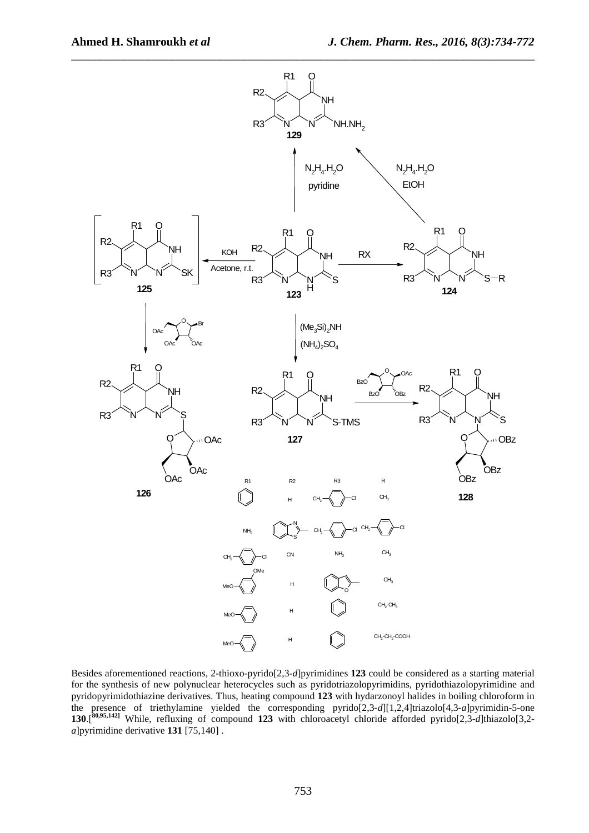

Besides aforementioned reactions, 2-thioxo-pyrido[2,3-*d*]pyrimidines **123** could be considered as a starting material for the synthesis of new polynuclear heterocycles such as pyridotriazolopyrimidins, pyridothiazolopyrimidine and pyridopyrimidothiazine derivatives. Thus, heating compound **123** with hydarzonoyl halides in boiling chloroform in the presence of triethylamine yielded the corresponding pyrido[2,3‐*d*][1,2,4]triazolo[4,3‐*a*]pyrimidin-5-one **130**.[**80,95,142]** While, refluxing of compound **123** with chloroacetyl chloride afforded pyrido[2,3-*d*]thiazolo[3,2 *a*]pyrimidine derivative **131** [75,140] .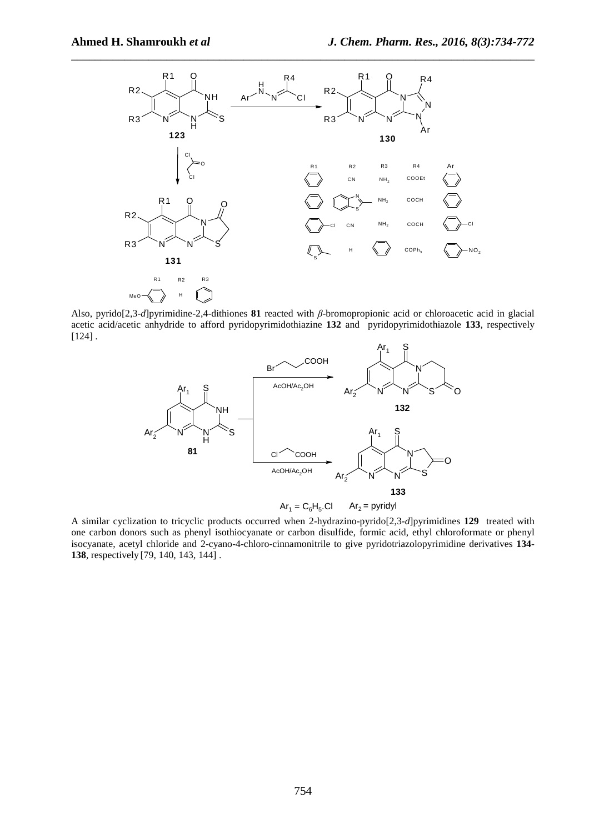

Also, pyrido[2,3-*d*]pyrimidine-2,4-dithiones **81** reacted with *β*-bromopropionic acid or chloroacetic acid in glacial acetic acid/acetic anhydride to afford pyridopyrimidothiazine **132** and pyridopyrimidothiazole **133**, respectively [124] .



A similar cyclization to tricyclic products occurred when 2-hydrazino-pyrido[2,3-*d*]pyrimidines **129** treated with one carbon donors such as phenyl isothiocyanate or carbon disulfide, formic acid, ethyl chloroformate or phenyl isocyanate, acetyl chloride and 2-cyano-4-chloro-cinnamonitrile to give pyridotriazolopyrimidine derivatives **134**- **138**, respectively [79, 140, 143, 144] .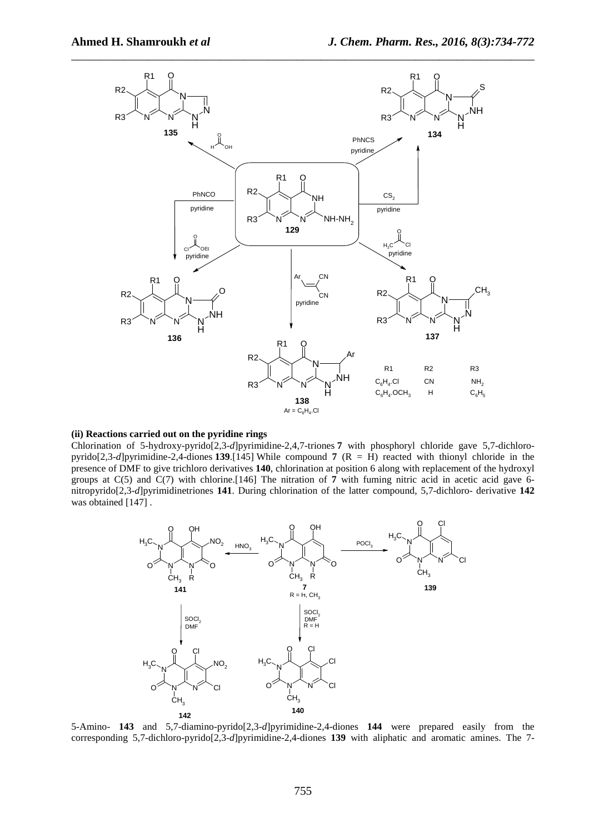

# **(ii) Reactions carried out on the pyridine rings**

Chlorination of 5-hydroxy-pyrido[2,3-*d*]pyrimidine-2,4,7-triones **7** with phosphoryl chloride gave 5,7-dichloropyrido[2,3-*d*]pyrimidine-2,4-diones **139**.[145] While compound **7** (R = H) reacted with thionyl chloride in the presence of DMF to give trichloro derivatives **140**, chlorination at position 6 along with replacement of the hydroxyl groups at C(5) and C(7) with chlorine.[146] The nitration of **7** with fuming nitric acid in acetic acid gave 6 nitropyrido[2,3-*d*]pyrimidinetriones **141**. During chlorination of the latter compound, 5,7-dichloro- derivative **142** was obtained [147] .



5-Amino- **143** and 5,7-diamino-pyrido[2,3-*d*]pyrimidine-2,4-diones **144** were prepared easily from the corresponding 5,7-dichloro-pyrido[2,3-*d*]pyrimidine-2,4-diones **139** with aliphatic and aromatic amines. The 7-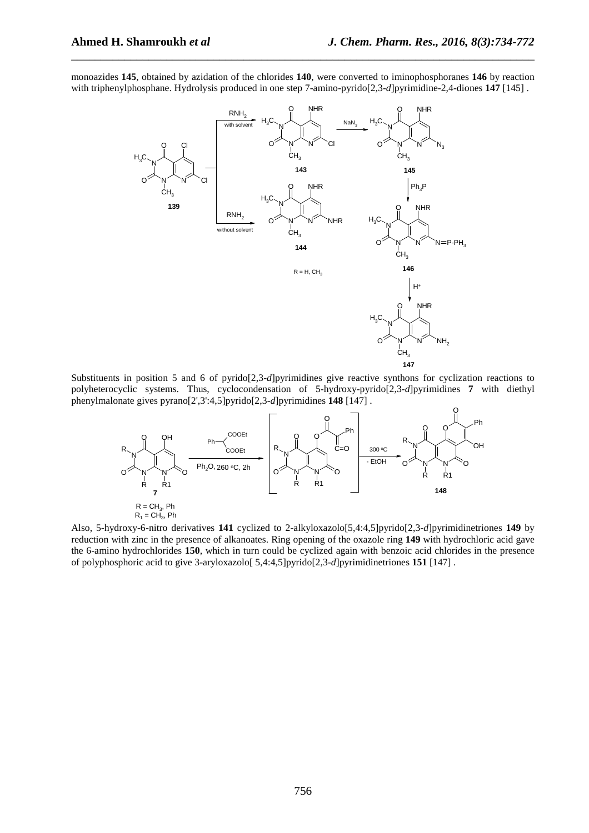monoazides **145**, obtained by azidation of the chlorides **140**, were converted to iminophosphoranes **146** by reaction with triphenylphosphane. Hydrolysis produced in one step 7-amino-pyrido[2,3-*d*]pyrimidine-2,4-diones **147** [145] .

\_\_\_\_\_\_\_\_\_\_\_\_\_\_\_\_\_\_\_\_\_\_\_\_\_\_\_\_\_\_\_\_\_\_\_\_\_\_\_\_\_\_\_\_\_\_\_\_\_\_\_\_\_\_\_\_\_\_\_\_\_\_\_\_\_\_\_\_\_\_\_\_\_\_\_\_\_\_



Substituents in position 5 and 6 of pyrido[2,3-*d*]pyrimidines give reactive synthons for cyclization reactions to polyheterocyclic systems. Thus, cyclocondensation of 5-hydroxy-pyrido[2,3-*d*]pyrimidines **7** with diethyl phenylmalonate gives pyrano[2',3':4,5]pyrido[2,3-*d*]pyrimidines **148** [147] .



Also, 5-hydroxy-6-nitro derivatives 141 cyclized to 2-alkyloxazolo [5,4:4,5] pyrido [2,3-*d*] pyrimidinetriones 149 by reduction with zinc in the presence of alkanoates. Ring opening of the oxazole ring **149** with hydrochloric acid gave the 6-amino hydrochlorides **150**, which in turn could be cyclized again with benzoic acid chlorides in the presence of polyphosphoric acid to give 3-aryloxazolo[  $5,4:4,5$ ]pyrido[2,3-d]pyrimidinetriones **151** [147].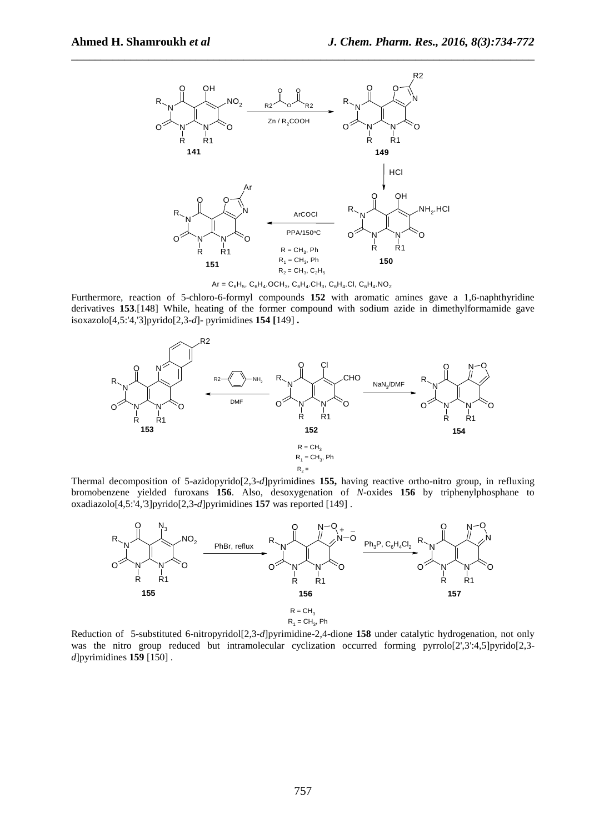

 $Ar = C_6H_5$ ,  $C_6H_4$ .OCH<sub>3</sub>,  $C_6H_4$ .CH<sub>3</sub>,  $C_6H_4$ .CI,  $C_6H_4$ .NO<sub>2</sub>

Furthermore, reaction of 5-chloro-6-formyl compounds **152** with aromatic amines gave a 1,6-naphthyridine derivatives **153**.[148] While, heating of the former compound with sodium azide in dimethylformamide gave isoxazolo[4,5:'4,'3]pyrido[2,3-d]- pyrimidines **154** [149] .



Thermal decomposition of 5-azidopyrido[2,3-*d*]pyrimidines **155,** having reactive ortho-nitro group, in refluxing bromobenzene yielded furoxans **156**. Also, desoxygenation of *N*-oxides **156** by triphenylphosphane to oxadiazolo[4,5:'4,'3]pyrido[2,3-d]pyrimidines **157** was reported [149].



Reduction of 5-substituted 6-nitropyridol[2,3-*d*]pyrimidine-2,4-dione **158** under catalytic hydrogenation, not only was the nitro group reduced but intramolecular cyclization occurred forming pyrrolo[2',3':4,5]pyrido[2,3*d*]pyrimidines **159** [150] .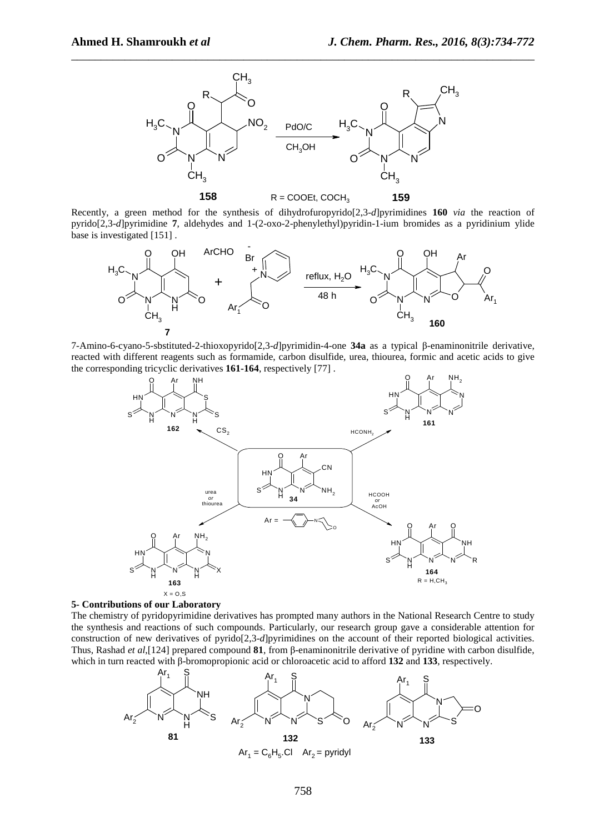

Recently, a green method for the synthesis of dihydrofuropyrido[2,3-*d*]pyrimidines **160** *via* the reaction of pyrido[2,3-*d*]pyrimidine **7**, aldehydes and 1-(2-oxo-2-phenylethyl)pyridin-1-ium bromides as a pyridinium ylide base is investigated [151] .



7-Amino-6-cyano-5-sbstituted-2-thioxopyrido[2,3-*d*]pyrimidin-4-one **34a** as a typical β-enaminonitrile derivative, reacted with different reagents such as formamide, carbon disulfide, urea, thiourea, formic and acetic acids to give the corresponding tricyclic derivatives **161-164**, respectively [77] .



# **5- Contributions of our Laboratory**

The chemistry of pyridopyrimidine derivatives has prompted many authors in the National Research Centre to study the synthesis and reactions of such compounds. Particularly, our research group gave a considerable attention for construction of new derivatives of pyrido[2,3-*d*]pyrimidines on the account of their reported biological activities. Thus, Rashad *et al*,[124] prepared compound **81**, from β-enaminonitrile derivative of pyridine with carbon disulfide, which in turn reacted with β-bromopropionic acid or chloroacetic acid to afford **132** and **133**, respectively.

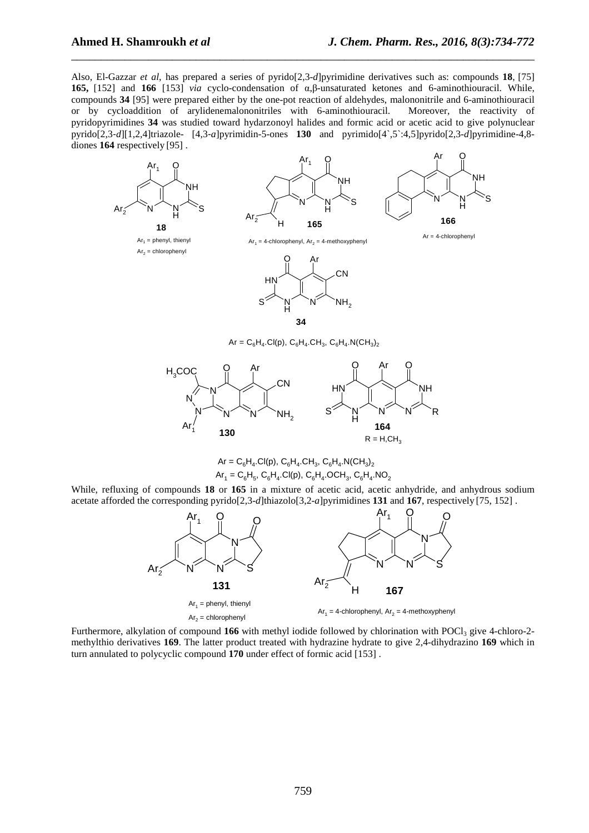Also, El-Gazzar *et al*, has prepared a series of pyrido[2,3-*d*]pyrimidine derivatives such as: compounds **18**, [75] **165,** [152] and **166** [153] *via* cyclo-condensation of α,β-unsaturated ketones and 6-aminothiouracil. While, compounds **34** [95] were prepared either by the one-pot reaction of aldehydes, malononitrile and 6-aminothiouracil or by cycloaddition of arylidenemalononitriles with 6-aminothiouracil. Moreover, the reactivity of pyridopyrimidines **34** was studied toward hydarzonoyl halides and formic acid or acetic acid to give polynuclear pyrido[2,3‐*d*][1,2,4]triazole- [4,3‐*a*]pyrimidin-5-ones **130** and pyrimido[4`,5`:4,5]pyrido[2,3-*d*]pyrimidine-4,8 diones **164** respectively [95] .

\_\_\_\_\_\_\_\_\_\_\_\_\_\_\_\_\_\_\_\_\_\_\_\_\_\_\_\_\_\_\_\_\_\_\_\_\_\_\_\_\_\_\_\_\_\_\_\_\_\_\_\_\_\_\_\_\_\_\_\_\_\_\_\_\_\_\_\_\_\_\_\_\_\_\_\_\_\_



 $Ar = C_6H_4.CI(p), C_6H_4.CH_3, C_6H_4.N(CH_3)_2$  $Ar_1 = C_6H_5$ ,  $C_6H_4$ .Cl(p),  $C_6H_4$ .OCH<sub>3</sub>,  $C_6H_4$ .NO<sub>2</sub>

While, refluxing of compounds **18** or **165** in a mixture of acetic acid, acetic anhydride, and anhydrous sodium acetate afforded the corresponding pyrido[2,3-*d*]thiazolo[3,2-*a*]pyrimidines **131** and **167**, respectively [75, 152] .



Furthermore, alkylation of compound 166 with methyl iodide followed by chlorination with POCl<sub>3</sub> give 4-chloro-2methylthio derivatives **169**. The latter product treated with hydrazine hydrate to give 2,4-dihydrazino **169** which in turn annulated to polycyclic compound **170** under effect of formic acid [153] .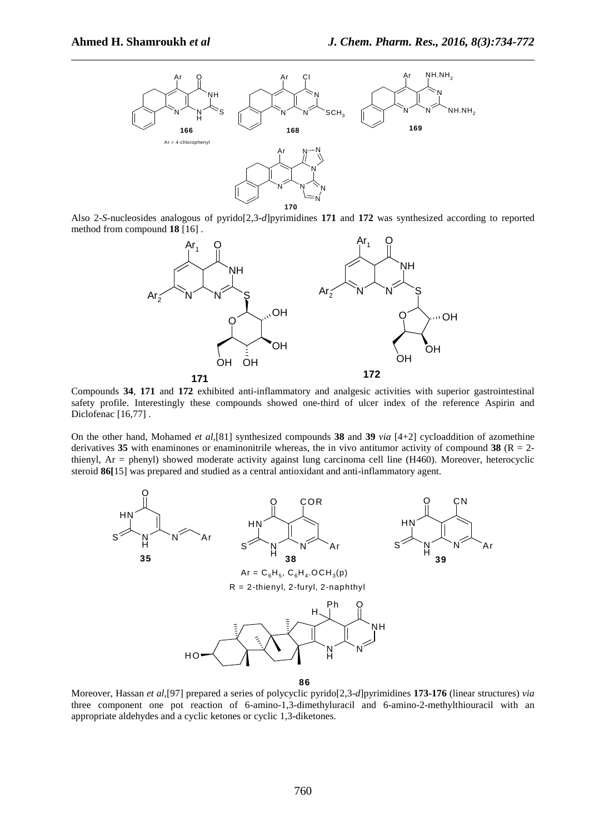

Also 2-*S*-nucleosides analogous of pyrido[2,3-*d*]pyrimidines **171** and **172** was synthesized according to reported method from compound **18** [16] .



Compounds **34**, **171** and **172** exhibited anti-inflammatory and analgesic activities with superior gastrointestinal safety profile. Interestingly these compounds showed one-third of ulcer index of the reference Aspirin and Diclofenac [16,77] .

On the other hand, Mohamed *et al*,[81] synthesized compounds **38** and **39** *via* [4+2] cycloaddition of azomethine derivatives 35 with enaminones or enaminonitrile whereas, the in vivo antitumor activity of compound 38 ( $R = 2$ thienyl, Ar = phenyl) showed moderate activity against lung carcinoma cell line (H460). Moreover, heterocyclic steroid **86[**15] was prepared and studied as a central antioxidant and anti-inflammatory agent.



**86**

Moreover, Hassan *et al*,[97] prepared a series of polycyclic pyrido[2,3-*d*]pyrimidines **173-176** (linear structures) *via* three component one pot reaction of 6-amino-1,3-dimethyluracil and 6-amino-2-methylthiouracil with an appropriate aldehydes and a cyclic ketones or cyclic 1,3-diketones.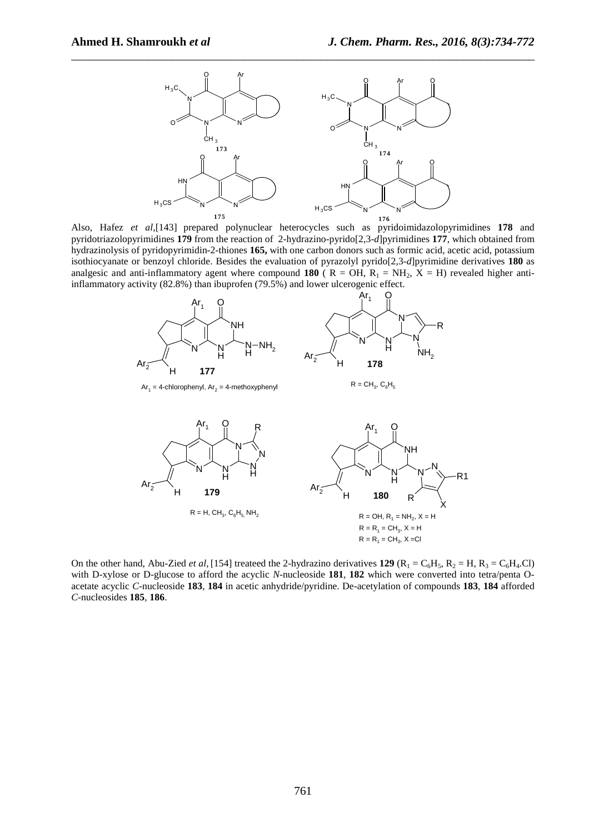

Also, Hafez *et al*,[143] prepared polynuclear heterocycles such as pyridoimidazolopyrimidines **178** and pyridotriazolopyrimidines **179** from the reaction of 2-hydrazino-pyrido[2,3-*d*]pyrimidines **177**, which obtained from hydrazinolysis of pyridopyrimidin -2- thiones **165,** with one carbon donors such as formic acid, acetic acid, potassium isothiocyanate or benzoyl chloride. Besides the evaluation of pyrazolyl pyrido[2,3-*d*]pyrimidine derivatives **180** as analgesic and anti-inflammatory agent where compound **180**  $(R = OH, R_1 = NH_2, X = H)$  revealed higher antiinflammatory activity (82.8%) than ibuprofen (79.5%) and lower ulcerogenic effect.



On the other hand, Abu-Zied *et al*, [154] treateed the 2-hydrazino derivatives **129** ( $R_1 = C_6H_5$ ,  $R_2 = H$ ,  $R_3 = C_6H_4$ .Cl) with D-xylose or D-glucose to afford the acyclic *N*-nucleoside **181**, **182** which were converted into tetra/penta Oacetate acyclic *C*-nucleoside **183**, **184** in acetic anhydride/pyridine. De-acetylation of compounds **183**, **184** afforded *C*-nucleosides **185**, **186**.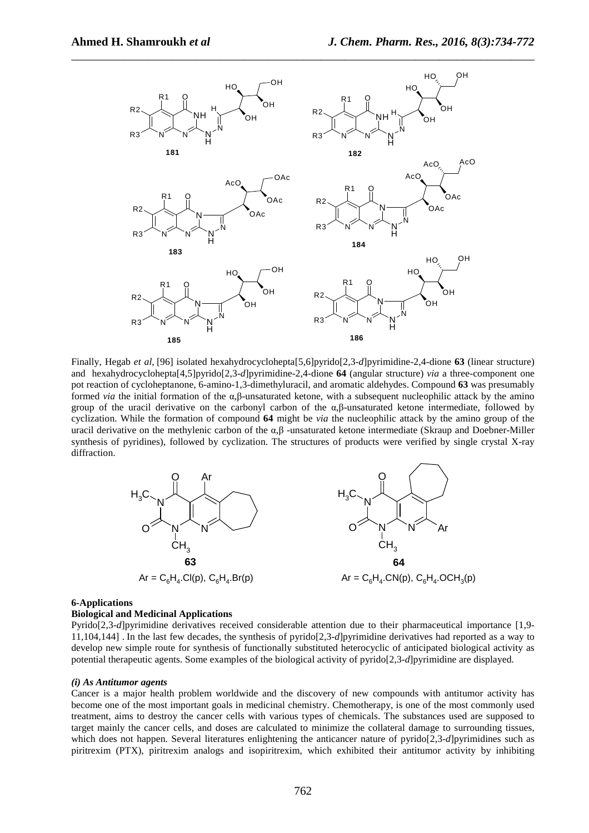

Finally, Hegab et al, [96] isolated hexahydrocyclohepta<sup>[5,6]</sup>pyrido<sup>[2,3-d]pyrimidine-2,4-dione **63** (linear structure)</sup> and hexahydrocyclohepta[4,5]pyrido[2,3-*d*]pyrimidine-2,4-dione **64** (angular structure) *via* a three-component one pot reaction of cycloheptanone, 6-amino-1,3-dimethyluracil, and aromatic aldehydes. Compound **63** was presumably formed *via* the initial formation of the α*,*β-unsaturated ketone, with a subsequent nucleophilic attack by the amino group of the uracil derivative on the carbonyl carbon of the α*,*β-unsaturated ketone intermediate, followed by cyclization. While the formation of compound **64** might be *via* the nucleophilic attack by the amino group of the uracil derivative on the methylenic carbon of the α*,*β -unsaturated ketone intermediate (Skraup and Doebner-Miller synthesis of pyridines), followed by cyclization. The structures of products were verified by single crystal X-ray diffraction.



## **6-Applications**

# **Biological and Medicinal Applications**

Pyrido[2,3-*d*]pyrimidine derivatives received considerable attention due to their pharmaceutical importance [1,9- 11,104,144] . In the last few decades, the synthesis of pyrido[2,3-*d*]pyrimidine derivatives had reported as a way to develop new simple route for synthesis of functionally substituted heterocyclic of anticipated biological activity as potential therapeutic agents. Some examples of the biological activity of pyrido[2,3-*d*]pyrimidine are displayed.

#### *(i) As Antitumor agents*

Cancer is a major health problem worldwide and the discovery of new compounds with antitumor activity has become one of the most important goals in medicinal chemistry. Chemotherapy, is one of the most commonly used treatment, aims to destroy the cancer cells with various types of chemicals. The substances used are supposed to target mainly the cancer cells, and doses are calculated to minimize the collateral damage to surrounding tissues, which does not happen. Several literatures enlightening the anticancer nature of pyrido[2,3-*d*]pyrimidines such as piritrexim (PTX), piritrexim analogs and isopiritrexim, which exhibited their antitumor activity by inhibiting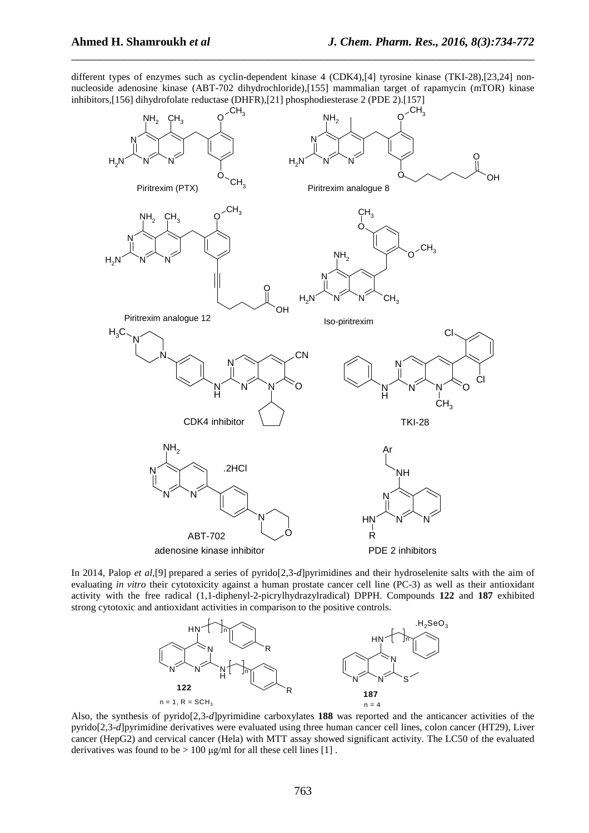different types of enzymes such as cyclin-dependent kinase 4 (CDK4),[4] tyrosine kinase (TKI-28),[23,24] nonnucleoside adenosine kinase (ABT-702 dihydrochloride),[155] mammalian target of rapamycin (mTOR) kinase inhibitors,[156] dihydrofolate reductase (DHFR),[21] phosphodiesterase 2 (PDE 2).[157]

\_\_\_\_\_\_\_\_\_\_\_\_\_\_\_\_\_\_\_\_\_\_\_\_\_\_\_\_\_\_\_\_\_\_\_\_\_\_\_\_\_\_\_\_\_\_\_\_\_\_\_\_\_\_\_\_\_\_\_\_\_\_\_\_\_\_\_\_\_\_\_\_\_\_\_\_\_\_



In 2014, Palop *et al*,[9] prepared a series of pyrido[2,3-*d*]pyrimidines and their hydroselenite salts with the aim of evaluating *in vitro* their cytotoxicity against a human prostate cancer cell line (PC-3) as well as their antioxidant activity with the free radical (1,1-diphenyl-2-picrylhydrazylradical) DPPH. Compounds **122** and **187** exhibited strong cytotoxic and antioxidant activities in comparison to the positive controls.



Also, the synthesis of pyrido[2,3-*d*]pyrimidine carboxylates **188** was reported and the anticancer activities of the pyrido[2,3-*d*]pyrimidine derivatives were evaluated using three human cancer cell lines, colon cancer (HT29), Liver cancer (HepG2) and cervical cancer (Hela) with MTT assay showed significant activity. The LC50 of the evaluated derivatives was found to be  $> 100 \mu g/ml$  for all these cell lines [1].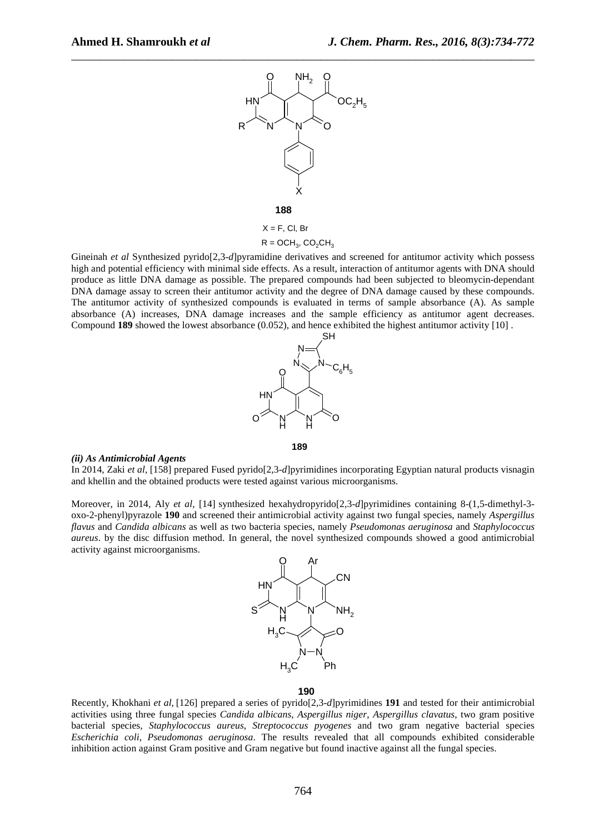

 $R = OCH_3$ ,  $CO_2CH_3$ 

Gineinah *et al* Synthesized pyrido[2,3-*d*]pyramidine derivatives and screened for antitumor activity which possess high and potential efficiency with minimal side effects. As a result, interaction of antitumor agents with DNA should produce as little DNA damage as possible. The prepared compounds had been subjected to bleomycin-dependant DNA damage assay to screen their antitumor activity and the degree of DNA damage caused by these compounds. The antitumor activity of synthesized compounds is evaluated in terms of sample absorbance (A). As sample absorbance (A) increases, DNA damage increases and the sample efficiency as antitumor agent decreases. Compound **189** showed the lowest absorbance (0.052), and hence exhibited the highest antitumor activity [10] .



# *(ii) As Antimicrobial Agents*

In 2014, Zaki *et al,* [158] prepared Fused pyrido[2,3-*d*]pyrimidines incorporating Egyptian natural products visnagin and khellin and the obtained products were tested against various microorganisms.

**189**

Moreover, in 2014, Aly *et al,* [14] synthesized hexahydropyrido[2,3-*d*]pyrimidines containing 8-(1,5-dimethyl-3 oxo-2-phenyl)pyrazole **190** and screened their antimicrobial activity against two fungal species, namely *Aspergillus flavus* and *Candida albicans* as well as two bacteria species, namely *Pseudomonas aeruginosa* and *Staphylococcus aureus*. by the disc diffusion method. In general, the novel synthesized compounds showed a good antimicrobial activity against microorganisms.



#### **190**

Recently, Khokhani *et al,* [126] prepared a series of pyrido[2,3-*d*]pyrimidines **191** and tested for their antimicrobial activities using three fungal species *Candida albicans*, *Aspergillus niger*, *Aspergillus clavatus*, two gram positive bacterial species, *Staphylococcus aureus*, *Streptococcus pyogenes* and two gram negative bacterial species *Escherichia coli*, *Pseudomonas aeruginosa*. The results revealed that all compounds exhibited considerable inhibition action against Gram positive and Gram negative but found inactive against all the fungal species.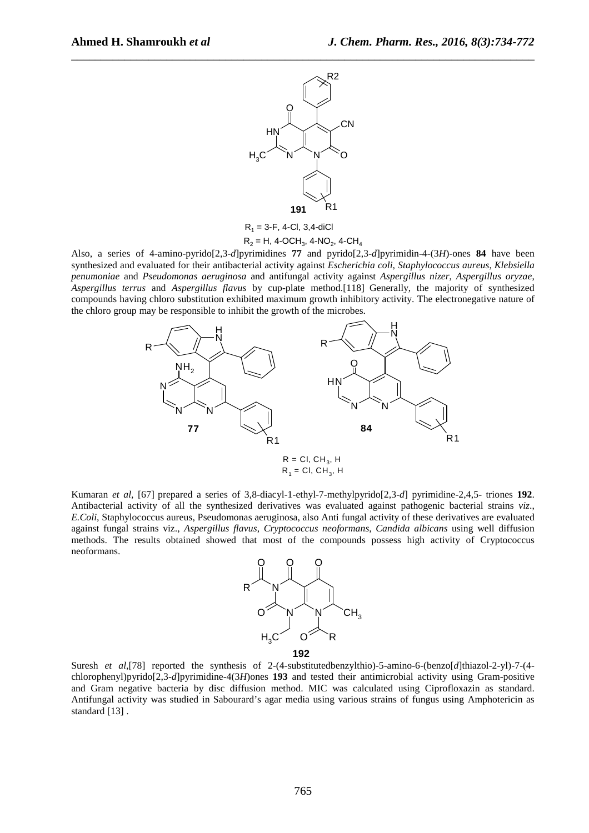

 $R_1$  = 3-F, 4-Cl, 3,4-diCl  $R_2 = H$ , 4-OCH<sub>3</sub>, 4-NO<sub>2</sub>, 4-CH<sub>4</sub>

Also, a series of 4-amino-pyrido[2,3-*d*]pyrimidines **77** and pyrido[2,3-*d*]pyrimidin-4-(3*H*)-ones **84** have been synthesized and evaluated for their antibacterial activity against *Escherichia coli*, *Staphylococcus aureus*, *Klebsiella penumoniae* and *Pseudomonas aeruginosa* and antifungal activity against *Aspergillus nizer*, *Aspergillus oryzae*, *Aspergillus terrus* and *Aspergillus flavus* by cup-plate method.[118] Generally, the majority of synthesized compounds having chloro substitution exhibited maximum growth inhibitory activity. The electronegative nature of the chloro group may be responsible to inhibit the growth of the microbes.



Kumaran *et al.* [67] prepared a series of 3,8-diacyl-1-ethyl-7-methylpyrido[2,3-*d*] pyrimidine-2,4,5- triones 192. Antibacterial activity of all the synthesized derivatives was evaluated against pathogenic bacterial strains *viz*., *E.Coli*, Staphylococcus aureus, Pseudomonas aeruginosa, also Anti fungal activity of these derivatives are evaluated against fungal strains viz., *Aspergillus flavus*, *Cryptococcus neoformans*, *Candida albicans* using well diffusion methods. The results obtained showed that most of the compounds possess high activity of Cryptococcus neoformans.



Suresh *et al*,[78] reported the synthesis of 2-(4-substitutedbenzylthio)-5-amino-6-(benzo[d]thiazol-2-yl)-7-(4chlorophenyl)pyrido[2,3-*d*]pyrimidine-4(3*H*)ones **193** and tested their antimicrobial activity using Gram-positive and Gram negative bacteria by disc diffusion method. MIC was calculated using Ciprofloxazin as standard. Antifungal activity was studied in Sabourard's agar media using various strains of fungus using Amphotericin as standard [13] .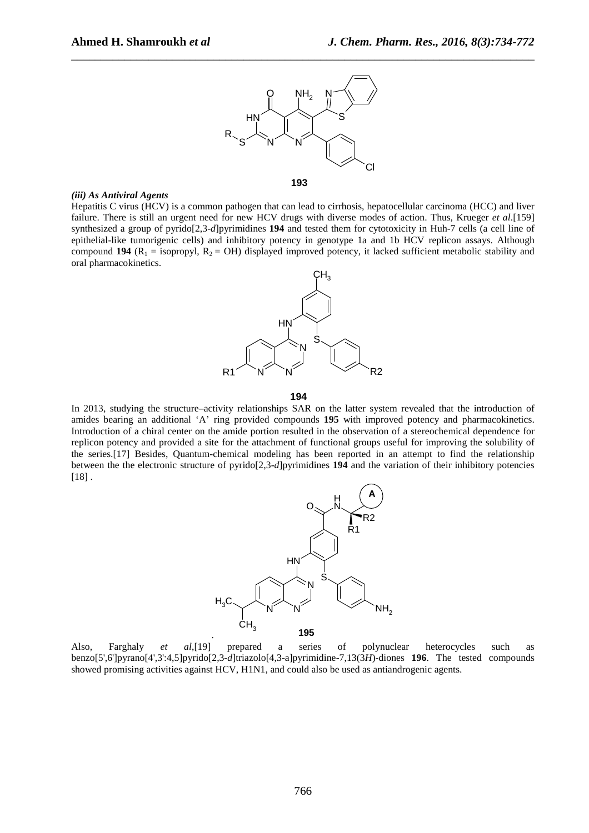

#### *(iii) As Antiviral Agents*

Hepatitis C virus (HCV) is a common pathogen that can lead to cirrhosis, hepatocellular carcinoma (HCC) and liver failure. There is still an urgent need for new HCV drugs with diverse modes of action. Thus, Krueger *et al*.[159] synthesized a group of pyrido[2,3-*d*]pyrimidines **194** and tested them for cytotoxicity in Huh-7 cells (a cell line of epithelial-like tumorigenic cells) and inhibitory potency in genotype 1a and 1b HCV replicon assays. Although compound **194** ( $R_1$  = isopropyl,  $R_2$  = OH) displayed improved potency, it lacked sufficient metabolic stability and oral pharmacokinetics.



#### **194**

In 2013, studying the structure–activity relationships SAR on the latter system revealed that the introduction of amides bearing an additional 'A' ring provided compounds **195** with improved potency and pharmacokinetics. Introduction of a chiral center on the amide portion resulted in the observation of a stereochemical dependence for replicon potency and provided a site for the attachment of functional groups useful for improving the solubility of the series.[17] Besides, Quantum-chemical modeling has been reported in an attempt to find the relationship between the the electronic structure of pyrido[2,3-*d*]pyrimidines **194** and the variation of their inhibitory potencies [18] .



Also, Farghaly *et al*,[19] prepared a series of polynuclear heterocycles such as benzo[5',6']pyrano[4',3':4,5]pyrido[2,3-*d*]triazolo[4,3-a]pyrimidine-7,13(3*H*)-diones **196**. The tested compounds showed promising activities against HCV, H1N1, and could also be used as antiandrogenic agents.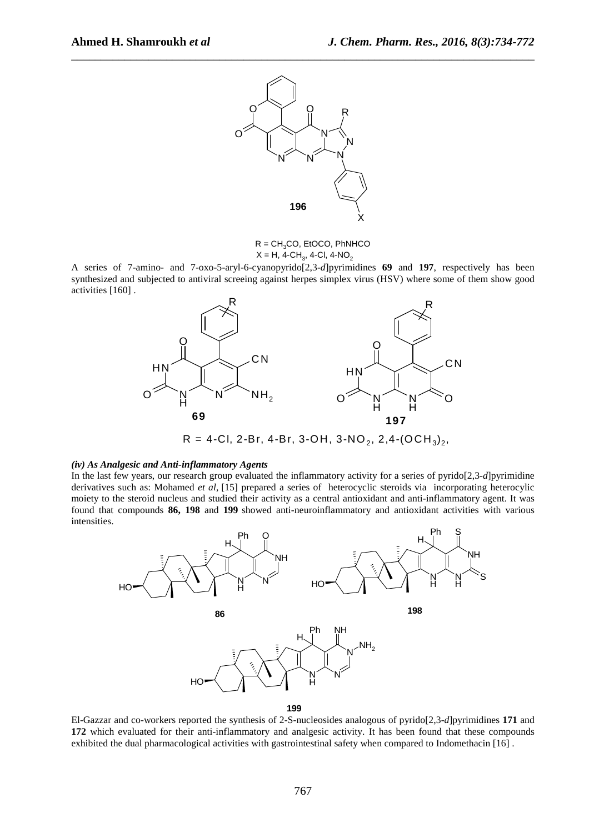

 $R = CH<sub>3</sub>CO$ , EtOCO, PhNHCO  $X = H$ , 4-CH<sub>3</sub>, 4-Cl, 4-NO<sub>2</sub>

A series of 7-amino- and 7-oxo-5-aryl-6-cyanopyrido[2,3-*d*]pyrimidines **69** and **197**, respectively has been synthesized and subjected to antiviral screeing against herpes simplex virus (HSV) where some of them show good activities [160] .



# *(iv) As Analgesic and Anti-inflammatory Agents*

In the last few years, our research group evaluated the inflammatory activity for a series of pyrido[2,3-*d*]pyrimidine derivatives such as: Mohamed *et al*, [15] prepared a series of heterocyclic steroids via incorporating heterocylic moiety to the steroid nucleus and studied their activity as a central antioxidant and anti-inflammatory agent. It was found that compounds **86, 198** and **199** showed anti-neuroinflammatory and antioxidant activities with various intensities.



El-Gazzar and co-workers reported the synthesis of 2-S-nucleosides analogous of pyrido[2,3-*d*]pyrimidines **171** and **172** which evaluated for their anti-inflammatory and analgesic activity. It has been found that these compounds exhibited the dual pharmacological activities with gastrointestinal safety when compared to Indomethacin [16] .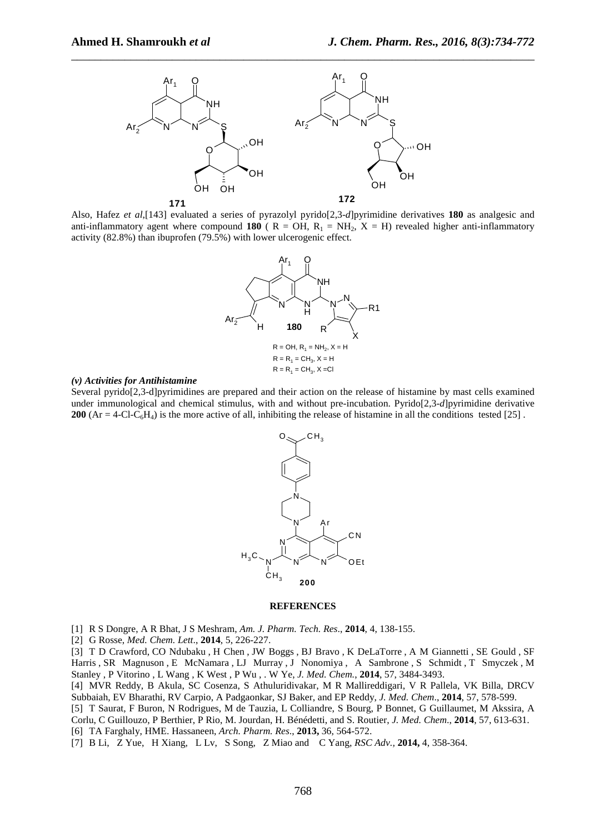

Also, Hafez *et al*,[143] evaluated a series of pyrazolyl pyrido[2,3-*d*]pyrimidine derivatives **180** as analgesic and anti-inflammatory agent where compound **180** ( $R = OH$ ,  $R_1 = NH_2$ ,  $X = H$ ) revealed higher anti-inflammatory activity (82.8%) than ibuprofen (79.5%) with lower ulcerogenic effect.



# *(v) Activities for Antihistamine*

Several pyrido[2,3-d]pyrimidines are prepared and their action on the release of histamine by mast cells examined under immunological and chemical stimulus, with and without pre-incubation. Pyrido[2,3-*d*]pyrimidine derivative **200**  $(Ar = 4$ -Cl-C<sub>6</sub>H<sub>4</sub>) is the more active of all, inhibiting the release of histamine in all the conditions tested [25].



#### **REFERENCES**

[1] R S Dongre, A R Bhat, J S Meshram, *Am. J. Pharm. Tech. Res*., **2014**, 4, 138-155.

[2] G Rosse, *Med. Chem. Lett*., **2014**, 5, 226-227.

[3] T D Crawford, CO Ndubaku , H Chen , JW Boggs , BJ Bravo , K DeLaTorre , A M Giannetti , SE Gould , SF Harris , SR Magnuson , E McNamara , LJ Murray , J Nonomiya , A Sambrone , S Schmidt , T Smyczek , M Stanley , P Vitorino , L Wang , K West , P Wu , . W Ye, *J. Med. Chem.*, **2014**, 57, 3484-3493.

[4] MVR Reddy, B Akula, SC Cosenza, S Athuluridivakar, M R Mallireddigari, V R Pallela, VK Billa, DRCV Subbaiah, EV Bharathi, RV Carpio, A Padgaonkar, SJ Baker, and EP Reddy, *J. Med. Chem*., **2014**, 57, 578-599.

[5] T Saurat, F Buron, N Rodrigues, M de Tauzia, L Colliandre, S Bourg, P Bonnet, G Guillaumet, M Akssira, A Corlu, C Guillouzo, P Berthier, P Rio, M. Jourdan, H. Bénédetti, and S. Routier, *J. Med. Chem*., **2014**, 57, 613-631. [6] TA Farghaly, HME. Hassaneen, *Arch. Pharm. Res*., **2013,** 36, 564-572.

[7] B Li, Z Yue, H Xiang, L Lv, S Song, Z Miao and C Yang, *RSC Adv.,* **2014,** 4, 358-364.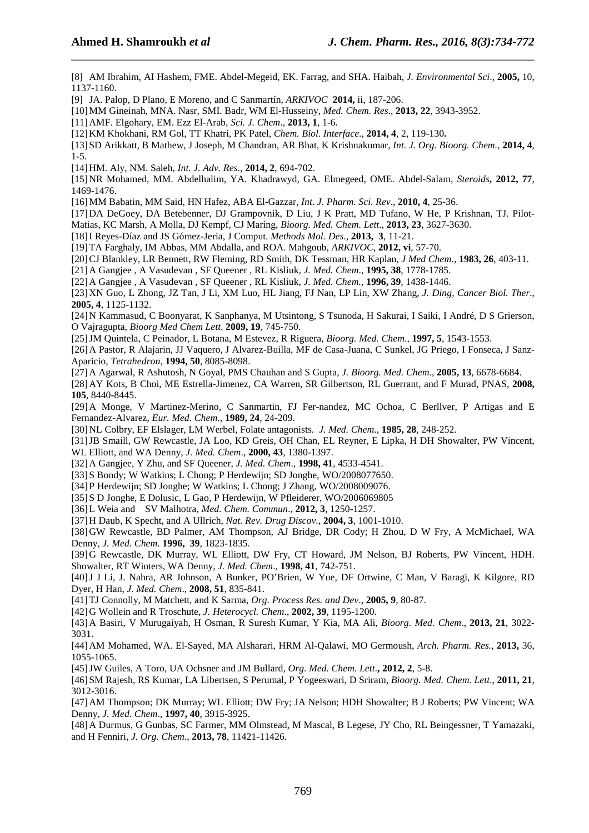[8] AM Ibrahim, AI Hashem, FME. Abdel-Megeid, EK. Farrag, and SHA. Haibah, *J. Environmental Sci*., **2005,** 10, 1137-1160.

\_\_\_\_\_\_\_\_\_\_\_\_\_\_\_\_\_\_\_\_\_\_\_\_\_\_\_\_\_\_\_\_\_\_\_\_\_\_\_\_\_\_\_\_\_\_\_\_\_\_\_\_\_\_\_\_\_\_\_\_\_\_\_\_\_\_\_\_\_\_\_\_\_\_\_\_\_\_

[9] JA. Palop, D Plano, E Moreno, and C Sanmartín, *ARKIVOC* **2014,** ii, 187-206.

[10]MM Gineinah, MNA. Nasr, SMI. Badr, WM El-Husseiny, *Med. Chem. Res*., **2013, 22**, 3943-3952.

[11]AMF. Elgohary, EM. Ezz El-Arab, *Sci. J. Chem*., **2013, 1**, 1-6.

[12]KM Khokhani, RM Gol, TT Khatri, PK Patel, *Chem. Biol. Interface*., **2014, 4**, 2, 119-130**.**

[13]SD Arikkatt, B Mathew, J Joseph, M Chandran, AR Bhat, K Krishnakumar, *Int. J. Org. Bioorg. Chem.*, **2014, 4**, 1-5.

- [14]HM. Aly, NM. Saleh, *Int. J. Adv. Res*., **2014, 2**, 694-702.
- [15]NR Mohamed, MM. Abdelhalim, YA. Khadrawyd, GA. Elmegeed, OME. Abdel-Salam, *Steroids***, 2012, 77**, 1469-1476.
- [16]MM Babatin, MM Said, HN Hafez, ABA El-Gazzar, *Int. J. Pharm. Sci. Rev*., **2010, 4**, 25-36.
- [17]DA DeGoey, DA Betebenner, DJ Grampovnik, D Liu, J K Pratt, MD Tufano, W He, P Krishnan, TJ. Pilot-

Matias, KC Marsh, A Molla, DJ Kempf, CJ Maring, *Bioorg. Med. Chem. Lett*., **2013, 23**, 3627-3630.

[18]I Reyes-Díaz and JS Gómez-Jeria, J Comput. *Methods Mol. Des*., **2013, 3**, 11-21.

- [19]TA Farghaly, IM Abbas, MM Abdalla, and ROA. Mahgoub, *ARKIVOC*, **2012, vi**, 57-70.
- [20]CJ Blankley, LR Bennett, RW Fleming, RD Smith, DK Tessman, HR Kaplan, *J Med Chem*., **1983, 26**, 403-11.
- [21]A Gangjee , A Vasudevan , SF Queener , RL Kisliuk*, J. Med. Chem*., **1995, 38**, 1778-1785.

[22]A Gangjee , A Vasudevan , SF Queener , RL Kisliuk, *J. Med. Chem.,* **1996, 39**, 1438-1446.

[23]XN Guo, L Zhong, JZ Tan, J Li, XM Luo, HL Jiang, FJ Nan, LP Lin, XW Zhang, *J. Ding, Cancer Biol. Ther*., **2005, 4**, 1125-1132.

[24]N Kammasud, C Boonyarat, K Sanphanya, M Utsintong, S Tsunoda, H Sakurai, I Saiki, I André, D S Grierson, O Vajragupta, *Bioorg Med Chem Lett*. **2009, 19**, 745-750.

[25]JM Quintela, C Peinador, L Botana, M Estevez, R Riguera, *Bioorg. Med. Chem*., **1997, 5**, 1543-1553.

[26]A Pastor, R Alajarin, JJ Vaquero, J Alvarez-Builla, MF de Casa-Juana, C Sunkel, JG Priego, I Fonseca, J Sanz-Aparicio, *Tetrahedron*, **1994, 50**, 8085-8098.

- [27]A Agarwal, R Ashutosh, N Goyal, PMS Chauhan and S Gupta, *J. Bioorg. Med. Chem.*, **2005, 13**, 6678-6684.
- [28]AY Kots, B Choi, ME Estrella-Jimenez, CA Warren, SR Gilbertson, RL Guerrant, and F Murad, PNAS, **2008, 105**, 8440-8445.

[29]A Monge, V Martinez-Merino, C Sanmartin, FJ Fer-nandez, MC Ochoa, C Berllver, P Artigas and E Fernandez-Alvarez, *Eur. Med. Chem*., **1989, 24**, 24-209.

[30]NL Colbry, EF Elslager, LM Werbel, Folate antagonists. *J. Med. Chem*., **1985, 28**, 248-252.

[31]JB Smaill, GW Rewcastle, JA Loo, KD Greis, OH Chan, EL Reyner, E Lipka, H DH Showalter, PW Vincent, WL Elliott, and WA Denny, *J. Med. Chem*., **2000, 43**, 1380-1397.

- [32]A Gangjee, Y Zhu, and SF Queener, *J. Med. Chem*., **1998, 41**, 4533-4541.
- [33]S Bondy; W Watkins; L Chong; P Herdewijn; SD Jonghe, WO/2008077650.

[34]P Herdewijn; SD Jonghe; W Watkins; L Chong; J Zhang, WO/2008009076.

[35]S D Jonghe, E Dolusic, L Gao, P Herdewijn, W Pfleiderer, WO/2006069805

[36]L Weia and SV Malhotra, *Med. Chem. Commun*., **2012, 3**, 1250-1257.

[37]H Daub, K Specht, and A Ullrich, *Nat. Rev. Drug Discov*., **2004, 3**, 1001-1010.

[38]GW Rewcastle, BD Palmer, AM Thompson, AJ Bridge, DR Cody; H Zhou, D W Fry, A McMichael, WA Denny, *J. Med. Chem*. **1996, 39**, 1823-1835.

[39]G Rewcastle, DK Murray, WL Elliott, DW Fry, CT Howard, JM Nelson, BJ Roberts, PW Vincent, HDH. Showalter, RT Winters, WA Denny, *J. Med. Chem*., **1998, 41**, 742-751.

[40]J J Li, J. Nahra, AR Johnson, A Bunker, PO'Brien, W Yue, DF Ortwine, C Man, V Baragi, K Kilgore, RD Dyer, H Han, *J. Med. Chem*., **2008, 51**, 835-841.

[41]TJ Connolly, M Matchett, and K Sarma, *Org. Process Res. and Dev*., **2005, 9**, 80-87.

[42]G Wollein and R Troschute, *J. Heterocycl. Chem*., **2002, 39**, 1195-1200.

[43]A Basiri, V Murugaiyah, H Osman, R Suresh Kumar, Y Kia, MA Ali, *Bioorg. Med. Chem*., **2013, 21**, 3022- 3031.

[44]AM Mohamed, WA. El-Sayed, MA Alsharari, HRM Al-Qalawi, MO Germoush, *Arch. Pharm. Res.*, **2013,** 36, 1055-1065.

[45]JW Guiles, A Toro, UA Ochsner and JM Bullard, *Org. Med. Chem. Lett*.**, 2012, 2**, 5-8.

[46]SM Rajesh, RS Kumar, LA Libertsen, S Perumal, P Yogeeswari, D Sriram, *Bioorg. Med. Chem. Lett*., **2011, 21**, 3012-3016.

[47]AM Thompson; DK Murray; WL Elliott; DW Fry; JA Nelson; HDH Showalter; B J Roberts; PW Vincent; WA Denny, *J. Med. Chem*., **1997, 40**, 3915-3925.

[48]A Durmus, G Gunbas, SC Farmer, MM Olmstead, M Mascal, B Legese, JY Cho, RL Beingessner, T Yamazaki, and H Fenniri, *J. Org. Chem*., **2013, 78**, 11421-11426.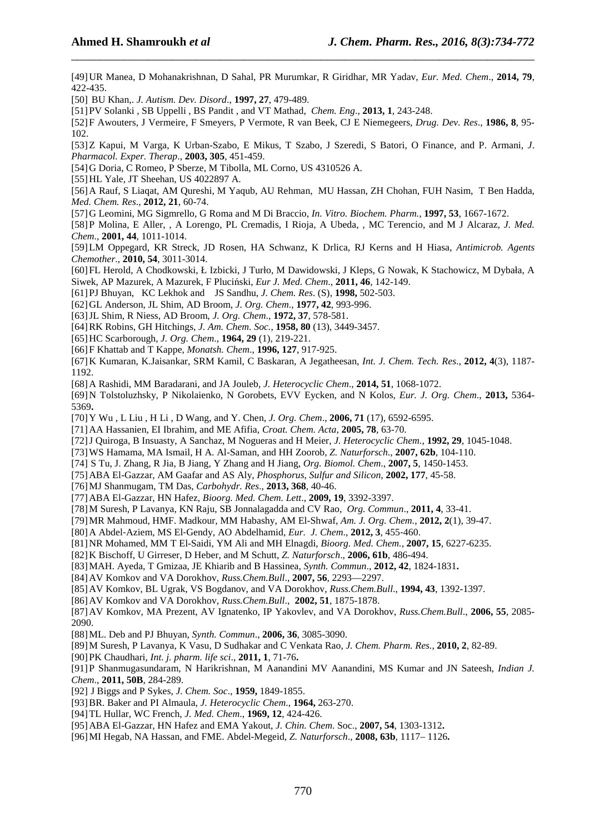[49]UR Manea, D Mohanakrishnan, D Sahal, PR Murumkar, R Giridhar, MR Yadav, *Eur. Med. Chem*., **2014, 79**, 422-435.

\_\_\_\_\_\_\_\_\_\_\_\_\_\_\_\_\_\_\_\_\_\_\_\_\_\_\_\_\_\_\_\_\_\_\_\_\_\_\_\_\_\_\_\_\_\_\_\_\_\_\_\_\_\_\_\_\_\_\_\_\_\_\_\_\_\_\_\_\_\_\_\_\_\_\_\_\_\_

[50] BU Khan,. *J. Autism. Dev. Disord*., **1997, 27**, 479-489.

[51]PV Solanki , SB Uppelli , BS Pandit , and VT Mathad, *Chem. Eng*., **2013, 1**, 243-248.

[52]F Awouters, J Vermeire, F Smeyers, P Vermote, R van Beek, CJ E Niemegeers, *Drug. Dev. Res*., **1986, 8**, 95 - 102.

[53]Z Kapui, M Varga, K Urban-Szabo, E Mikus, T Szabo, J Szeredi, S Batori, O Finance, and P. Armani*, J*. *Pharmacol. Exper. Therap*., **2003, 305**, 451-459.

[54]G Doria, C Romeo, P Sberze, M Tibolla, ML Corno, US 4310526 A.

[55]HL Yale, JT Sheehan, US 4022897 A.

[56]A Rauf, S Liaqat, AM Qureshi, M Yaqub, AU Rehman, MU Hassan, ZH Chohan, FUH Nasim, T Ben Hadda, *Med. Chem. Res*., **2012, 21**, 60-74.

[57]G Leomini, MG Sigmrello, G Roma and M Di Braccio, *In. Vitro. Biochem. Pharm.*, **1997, 53**, 1667-1672.

[58]P Molina, E Aller, , A Lorengo, PL Cremadis, I Rioja, A Ubeda, , MC Terencio, and M J Alcaraz*, J. Med. Chem*., **2001, 44**, 1011-1014.

[59]LM Oppegard, KR Streck, JD Rosen, HA Schwanz, K Drlica, RJ Kerns and H Hiasa, *Antimicrob. Agents Chemother*., **2010, 54**, 3011-3014.

[60]FL Herold, A Chodkowski, Ł Izbicki, J Turło, M Dawidowski, J Kleps, G Nowak, K Stachowicz, M Dybała, A Siwek, AP Mazurek, A Mazurek, F Pluciński, *Eur J. Med. Chem*., **2011, 46**, 142-149.

[61]PJ Bhuyan, KC Lekhok and JS Sandhu, *J. Chem. Res*. (S), **1998,** 502-503.

[62]GL Anderson, JL Shim, AD Broom, *J. Org. Chem*., **1977, 42**, 993-996.

[63]JL Shim, R Niess, AD Broom, *J. Org. Chem*., **1972, 37**, 578-581.

[64]RK Robins, GH Hitchings, *J. Am. Chem. Soc.*, **1958, 80** (13), 3449-3457.

- [65]HC Scarborough, *J. Org. Chem*., **1964, 29** (1), 219-221.
- [66]F Khattab and T Kappe, *Monatsh. Chem*., **1996, 127**, 917-925.

[67]K Kumaran, K.Jaisankar, SRM Kamil, C Baskaran, A Jegatheesan, *Int. J. Chem. Tech. Res*., **2012, 4**(3), 1187- 1192.

[68]A Rashidi, MM Baradarani, and JA Jouleb, *J. Heterocyclic Chem*., **2014, 51**, 1068-1072.

[69]N Tolstoluzhsky, P Nikolaienko, N Gorobets, EVV Eycken, and N Kolos, *Eur. J. Org. Chem*., **2013,** 5364- 5369**.**

[70]Y Wu , L Liu , H Li , D Wang, and Y. Chen, *J. Org. Chem*., **2006, 71** (17), 6592-6595.

[71]AA Hassanien, EI Ibrahim, and ME Afifia, *Croat. Chem. Acta*, **2005, 78**, 63-70.

[72]J Quiroga, B Insuasty, A Sanchaz, M Nogueras and H Meier, *J. Heterocyclic Chem.*, **1992, 29**, 1045-1048.

[73]WS Hamama, MA Ismail, H A. Al-Saman, and HH Zoorob, *Z. Naturforsch*., **2007, 62b**, 104-110.

[74] S Tu, J. Zhang, R Jia, B Jiang, Y Zhang and H Jiang, *Org. Biomol. Chem*., **2007, 5**, 1450-1453.

[75]ABA El-Gazzar, AM Gaafar and AS Aly, *Phosphorus, Sulfur and Silicon*, **2002, 177**, 45-58.

[76]MJ Shanmugam, TM Das, *Carbohydr. Res*., **2013, 368**, 40-46.

[77]ABA El-Gazzar, HN Hafez, *Bioorg. Med. Chem. Lett*., **2009, 19**, 3392-3397.

[78]M Suresh, P Lavanya, KN Raju, SB Jonnalagadda and CV Rao, *Org. Commun*., **2011, 4**, 33-41.

[79]MR Mahmoud, HMF. Madkour, MM Habashy, AM El-Shwaf, *Am. J. Org. Chem.*, **2012, 2**(1), 39-47.

[80]A Abdel‐Aziem, MS El‐Gendy, AO Abdelhamid, *Eur. J. Chem*., **2012, 3**, 455‐460.

[81]NR Mohamed, MM T El-Saidi, YM Ali and MH Elnagdi, *Bioorg. Med. Chem.*, **2007, 15**, 6227-6235.

[82]K Bischoff, U Girreser, D Heber, and M Schutt, *Z. Naturforsch*., **2006, 61b**, 486-494.

[83]MAH. Ayeda, T Gmizaa, JE Khiarib and B Hassinea, *Synth. Commun*., **2012, 42**, 1824-1831**.**

[84]AV Komkov and VA Dorokhov, *Russ.Chem.Bull*., **2007, 56**, 2293—2297.

[85]AV Komkov, BL Ugrak, VS Bogdanov, and VA Dorokhov, *Russ.Chem.Bull*., **1994, 43**, 1392-1397.

[86]AV Komkov and VA Dorokhov, *Russ.Chem.Bull*., **2002, 51**, 1875-1878.

[87]AV Komkov, MA Prezent, AV Ignatenko, IP Yakovlev, and VA Dorokhov, *Russ.Chem.Bull*., **2006, 55**, 2085- 2090.

[88]ML. Deb and PJ Bhuyan, *Synth. Commun*., **2006, 36**, 3085-3090.

[89]M Suresh, P Lavanya, K Vasu, D Sudhakar and C Venkata Rao, *J. Chem. Pharm. Res.*, **2010, 2**, 82-89.

[90]PK Chaudhari, *Int. j. pharm. life sci*., **2011, 1**, 71-76**.**

[91]P Shanmugasundaram, N Harikrishnan, M Aanandini MV Aanandini, MS Kumar and JN Sateesh, *Indian J. Chem*., **2011, 50B**, 284-289.

[92] J Biggs and P Sykes*, J. Chem. Soc*., **1959,** 1849-1855.

[93]BR. Baker and PI Almaula, *J. Heterocyclic Chem*., **1964,** 263-270.

- [94]TL Hullar, WC French, *J. Med. Chem*., **1969, 12**, 424-426.
- [95]ABA El-Gazzar, HN Hafez and EMA Yakout, *J. Chin. Chem*. Soc., **2007, 54**, 1303-1312**.**
- [96]MI Hegab, NA Hassan, and FME. Abdel-Megeid, *Z. Naturforsch*., **2008, 63b**, 1117– 1126**.**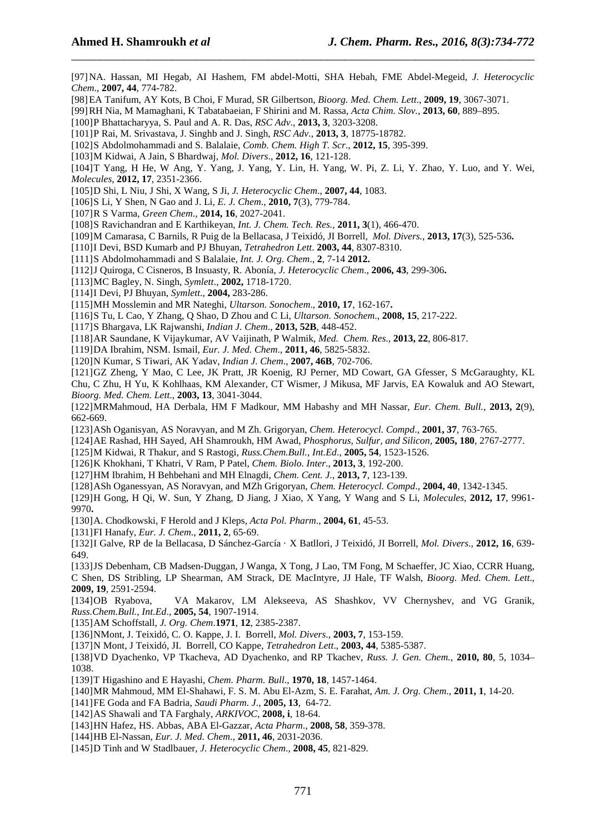[97]NA. Hassan, MI Hegab, AI Hashem, FM abdel-Motti, SHA Hebah, FME Abdel-Megeid, *J. Heterocyclic Chem*., **2007, 44**, 774-782.

\_\_\_\_\_\_\_\_\_\_\_\_\_\_\_\_\_\_\_\_\_\_\_\_\_\_\_\_\_\_\_\_\_\_\_\_\_\_\_\_\_\_\_\_\_\_\_\_\_\_\_\_\_\_\_\_\_\_\_\_\_\_\_\_\_\_\_\_\_\_\_\_\_\_\_\_\_\_

[98]EA Tanifum, AY Kots, B Choi, F Murad, SR Gilbertson, *Bioorg. Med. Chem. Lett*., **2009, 19**, 3067-3071.

[99]RH Nia, M Mamaghani, K Tabatabaeian, F Shirini and M. Rassa, *Acta Chim. Slov.*, **2013, 60**, 889–895.

[100]P Bhattacharyya, S. Paul and A. R. Das, *RSC Adv*., **2013, 3**, 3203-3208.

[101]P Rai, M. Srivastava, J. Singhb and J. Singh, *RSC Adv*., **2013, 3**, 18775-18782.

[102]S Abdolmohammadi and S. Balalaie, *Comb. Chem. High T. Scr*., **2012, 15**, 395-399.

[103]M Kidwai, A Jain, S Bhardwaj, *Mol. Divers*., **2012, 16**, 121-128.

[104]T Yang, H He, W Ang, Y. Yang, J. Yang, Y. Lin, H. Yang, W. Pi, Z. Li, Y. Zhao, Y. Luo, and Y. Wei, *Molecules*, **2012, 17**, 2351-2366.

[105]D Shi, L Niu, J Shi, X Wang, S Ji, *J. Heterocyclic Chem*., **2007, 44**, 1083.

[106]S Li, Y Shen, N Gao and J. Li, *E. J. Chem*., **2010, 7**(3), 779-784.

[107]R S Varma, *Green Chem*., **2014, 16**, 2027-2041.

[108]S Ravichandran and E Karthikeyan, *Int. J. Chem. Tech. Res.,* **2011, 3**(1), 466-470.

[109]M Camarasa, C Barnils, R Puig de la Bellacasa, J Teixidó, JI Borrell, *Mol. Divers.*, **2013, 17**(3), 525-536**.**

[110]I Devi, BSD Kumarb and PJ Bhuyan, *Tetrahedron Lett*. **2003, 44**, 8307-8310.

[111]S Abdolmohammadi and S Balalaie, *Int. J. Org. Chem*., **2**, 7-14 **2012.**

[112]J Quiroga, C Cisneros, B Insuasty, R. Abonía, *J. Heterocyclic Chem*., **2006, 43**, 299-306**.**

[113]MC Bagley, N. Singh*, Symlett*., **2002,** 1718-1720.

[114]I Devi, PJ Bhuyan, *Symlett*., **2004,** 283-286.

[115]MH Mosslemin and MR Nateghi, *Ultarson. Sonochem*., **2010, 17**, 162-167**.**

[116]S Tu, L Cao, Y Zhang, Q Shao, D Zhou and C Li, *Ultarson. Sonochem*., **2008, 15**, 217-222.

[117]S Bhargava, LK Rajwanshi, *Indian J. Chem*., **2013, 52B**, 448-452.

[118]AR Saundane, K Vijaykumar, AV Vaijinath, P Walmik, *Med. Chem. Res*., **2013, 22**, 806-817.

[119]DA Ibrahim, NSM. Ismail, *Eur. J. Med. Chem*., **2011, 46**, 5825-5832.

[120]N Kumar, S Tiwari, AK Yadav, *Indian J. Chem*., **2007, 46B**, 702-706.

[121]GZ Zheng, Y Mao, C Lee, JK Pratt, JR Koenig, RJ Perner, MD Cowart, GA Gfesser, S McGaraughty, KL

Chu, C Zhu, H Yu, K Kohlhaas, KM Alexander, CT Wismer, J Mikusa, MF Jarvis, EA Kowaluk and AO Stewart, *Bioorg. Med. Chem. Lett*., **2003, 13**, 3041-3044.

[122]MRMahmoud, HA Derbala, HM F Madkour, MM Habashy and MH Nassar, *Eur. Chem. Bull.,* **2013, 2**(9), 662-669.

[123]ASh Oganisyan, AS Noravyan, and M Zh. Grigoryan, *Chem. Heterocycl. Compd*., **2001, 37**, 763-765.

[124]AE Rashad, HH Sayed, AH Shamroukh, HM Awad, *Phosphorus, Sulfur, and Silicon,* **2005, 180**, 2767-2777.

[125]M Kidwai, R Thakur, and S Rastogi, *Russ.Chem.Bull., Int.Ed*., **2005, 54**, 1523-1526.

[126]K Khokhani, T Khatri, V Ram, P Patel, *Chem. Biolo. Inter*., **2013, 3**, 192-200.

[127]HM Ibrahim, H Behbehani and MH Elnagdi, *Chem. Cent. J*., **2013, 7**, 123-139.

[128]ASh Oganessyan, AS Noravyan, and MZh Grigoryan, *Chem. Heterocycl. Compd*., **2004, 40**, 1342-1345.

[129]H Gong, H Qi, W. Sun, Y Zhang, D Jiang, J Xiao, X Yang, Y Wang and S Li, *Molecules*, **2012, 17**, 9961- 9970**.**

[130]A. Chodkowski, F Herold and J Kleps, *Acta Pol. Pharm*., **2004, 61**, 45-53.

[131]FI Hanafy, *Eur. J. Chem*., **2011, 2**, 65‐69.

[132]I Galve, RP de la Bellacasa, D Sánchez-García · X Batllori, J Teixidó, JI Borrell, *Mol. Divers*., **2012, 16**, 639- 649.

[133]JS Debenham, CB Madsen-Duggan, J Wanga, X Tong, J Lao, TM Fong, M Schaeffer, JC Xiao, CCRR Huang, C Shen, DS Stribling, LP Shearman, AM Strack, DE MacIntyre, JJ Hale, TF Walsh, *Bioorg. Med. Chem. Lett*., **2009, 19**, 2591-2594.

[134]OB Ryabova, VA Makarov, LM Alekseeva, AS Shashkov, VV Chernyshev, and VG Granik, *Russ.Chem.Bull., Int.Ed*., **2005, 54**, 1907-1914.

[135]AM Schoffstall, *J. Org. Chem*.**1971**, **12**, 2385-2387.

[136]NMont, J. Teixidó, C. O. Kappe, J. I. Borrell, *Mol. Divers*., **2003, 7**, 153-159.

[137]N Mont, J Teixidó, JI. Borrell, CO Kappe, *Tetrahedron Lett*., **2003, 44**, 5385-5387.

[138]VD Dyachenko, VP Tkacheva, AD Dyachenko, and RP Tkachev, *Russ. J. Gen. Chem.*, **2010, 80**, 5, 1034– 1038.

[139]T Higashino and E Hayashi, *Chem. Pharm. Bull*., **1970, 18**, 1457-1464.

[140]MR Mahmoud, MM El-Shahawi, F. S. M. Abu El-Azm, S. E. Farahat, *Am. J. Org. Chem*., **2011, 1**, 14-20.

[141]FE Goda and FA Badria, *Saudi Pharm. J*., **2005, 13**, 64-72.

[142]AS Shawali and TA Farghaly, *ARKIVOC*, **2008, i**, 18-64.

[143]HN Hafez, HS. Abbas, ABA El-Gazzar, *Acta Pharm*., **2008, 58**, 359-378.

[144]HB El-Nassan, *Eur. J. Med. Chem*., **2011, 46**, 2031-2036.

[145]D Tinh and W Stadlbauer, *J. Heterocyclic Chem*., **2008, 45**, 821-829.